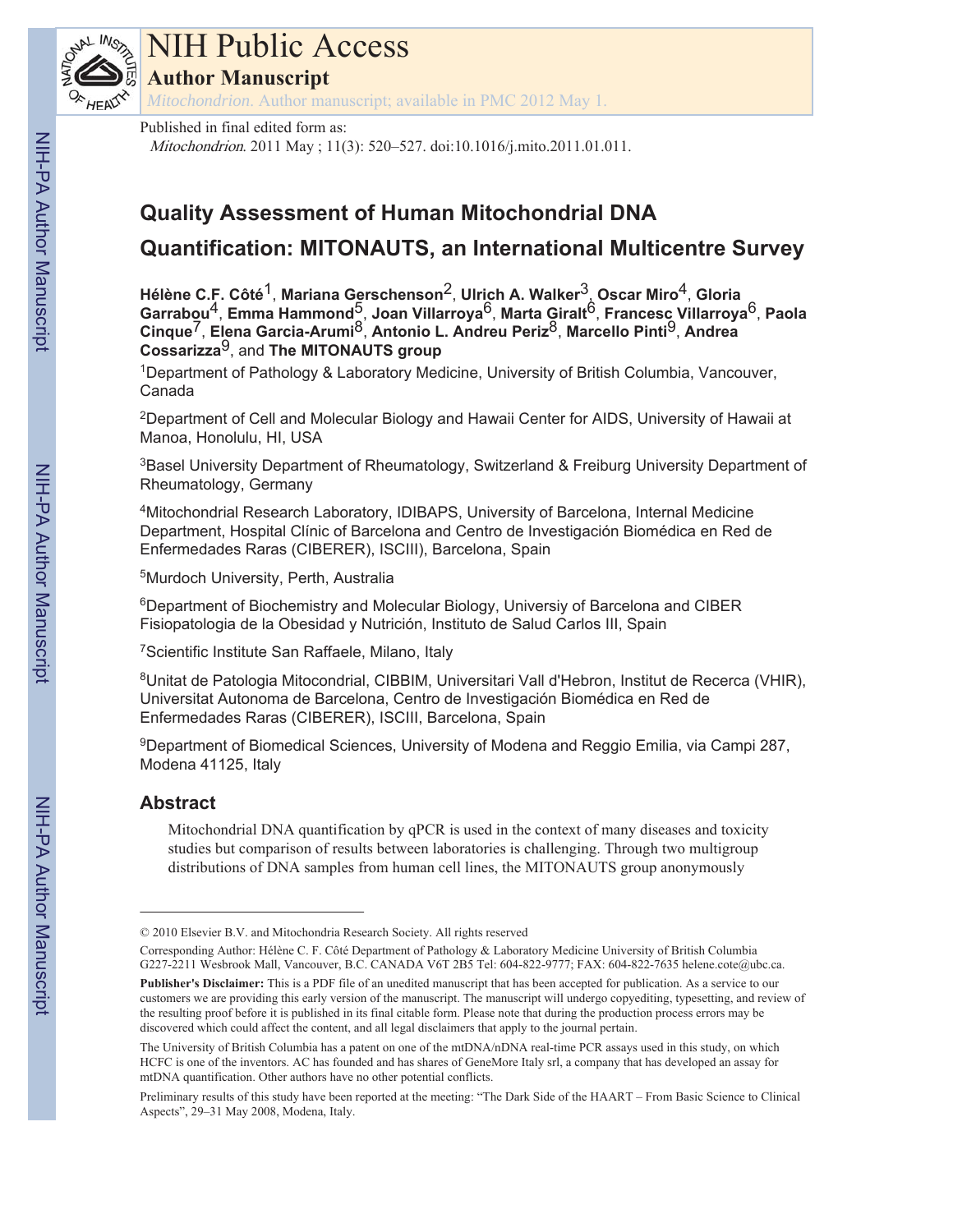

# NIH Public Access

**Author Manuscript**

*Mitochondrion*. Author manuscript; available in PMC 2012 May 1.

## Published in final edited form as:

Mitochondrion. 2011 May ; 11(3): 520–527. doi:10.1016/j.mito.2011.01.011.

# **Quality Assessment of Human Mitochondrial DNA Quantification: MITONAUTS, an International Multicentre Survey**

**Hélène C.F. Côté**1, **Mariana Gerschenson**2, **Ulrich A. Walker**3, **Oscar Miro**4, **Gloria Garrabou**4, **Emma Hammond**5, **Joan Villarroya**6, **Marta Giralt**6, **Francesc Villarroya**6, **Paola Cinque**7, **Elena Garcia-Arumi**8, **Antonio L. Andreu Periz**8, **Marcello Pinti**9, **Andrea Cossarizza**9, and **The MITONAUTS group**

1Department of Pathology & Laboratory Medicine, University of British Columbia, Vancouver, Canada

<sup>2</sup>Department of Cell and Molecular Biology and Hawaii Center for AIDS, University of Hawaii at Manoa, Honolulu, HI, USA

<sup>3</sup>Basel University Department of Rheumatology, Switzerland & Freiburg University Department of Rheumatology, Germany

4Mitochondrial Research Laboratory, IDIBAPS, University of Barcelona, Internal Medicine Department, Hospital Clínic of Barcelona and Centro de Investigación Biomédica en Red de Enfermedades Raras (CIBERER), ISCIII), Barcelona, Spain

5Murdoch University, Perth, Australia

6Department of Biochemistry and Molecular Biology, Universiy of Barcelona and CIBER Fisiopatologia de la Obesidad y Nutrición, Instituto de Salud Carlos III, Spain

7Scientific Institute San Raffaele, Milano, Italy

8Unitat de Patologia Mitocondrial, CIBBIM, Universitari Vall d'Hebron, Institut de Recerca (VHIR), Universitat Autonoma de Barcelona, Centro de Investigación Biomédica en Red de Enfermedades Raras (CIBERER), ISCIII, Barcelona, Spain

9Department of Biomedical Sciences, University of Modena and Reggio Emilia, via Campi 287, Modena 41125, Italy

## **Abstract**

Mitochondrial DNA quantification by qPCR is used in the context of many diseases and toxicity studies but comparison of results between laboratories is challenging. Through two multigroup distributions of DNA samples from human cell lines, the MITONAUTS group anonymously

<sup>© 2010</sup> Elsevier B.V. and Mitochondria Research Society. All rights reserved

Corresponding Author: Hélène C. F. Côté Department of Pathology & Laboratory Medicine University of British Columbia G227-2211 Wesbrook Mall, Vancouver, B.C. CANADA V6T 2B5 Tel: 604-822-9777; FAX: 604-822-7635 helene.cote@ubc.ca. **Publisher's Disclaimer:** This is a PDF file of an unedited manuscript that has been accepted for publication. As a service to our customers we are providing this early version of the manuscript. The manuscript will undergo copyediting, typesetting, and review of the resulting proof before it is published in its final citable form. Please note that during the production process errors may be discovered which could affect the content, and all legal disclaimers that apply to the journal pertain.

The University of British Columbia has a patent on one of the mtDNA/nDNA real-time PCR assays used in this study, on which HCFC is one of the inventors. AC has founded and has shares of GeneMore Italy srl, a company that has developed an assay for mtDNA quantification. Other authors have no other potential conflicts.

Preliminary results of this study have been reported at the meeting: "The Dark Side of the HAART – From Basic Science to Clinical Aspects", 29–31 May 2008, Modena, Italy.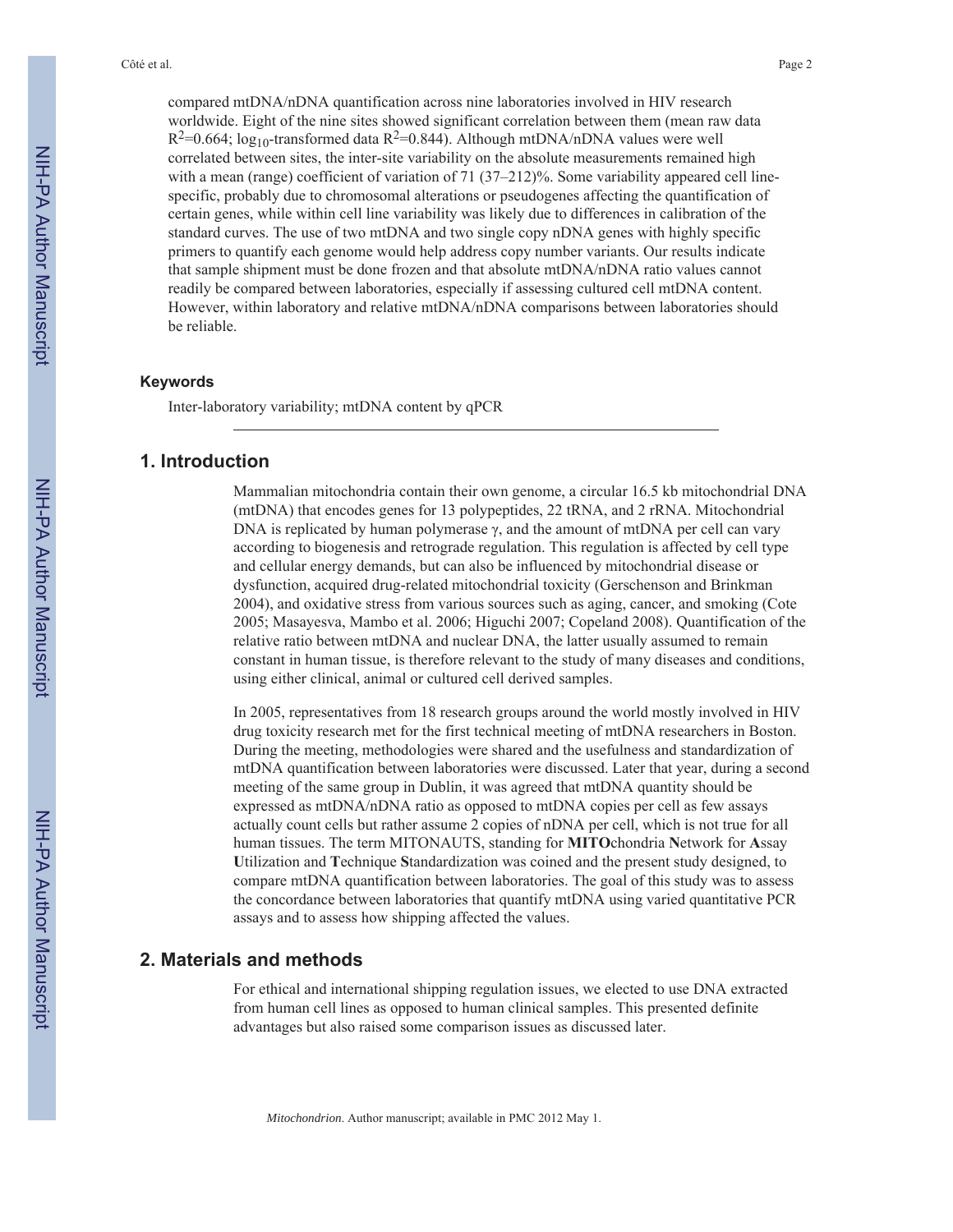compared mtDNA/nDNA quantification across nine laboratories involved in HIV research worldwide. Eight of the nine sites showed significant correlation between them (mean raw data  $R^2=0.664$ ; log<sub>10</sub>-transformed data  $R^2=0.844$ ). Although mtDNA/nDNA values were well correlated between sites, the inter-site variability on the absolute measurements remained high with a mean (range) coefficient of variation of 71 (37–212)%. Some variability appeared cell linespecific, probably due to chromosomal alterations or pseudogenes affecting the quantification of certain genes, while within cell line variability was likely due to differences in calibration of the standard curves. The use of two mtDNA and two single copy nDNA genes with highly specific primers to quantify each genome would help address copy number variants. Our results indicate that sample shipment must be done frozen and that absolute mtDNA/nDNA ratio values cannot readily be compared between laboratories, especially if assessing cultured cell mtDNA content. However, within laboratory and relative mtDNA/nDNA comparisons between laboratories should be reliable.

#### **Keywords**

Inter-laboratory variability; mtDNA content by qPCR

## **1. Introduction**

Mammalian mitochondria contain their own genome, a circular 16.5 kb mitochondrial DNA (mtDNA) that encodes genes for 13 polypeptides, 22 tRNA, and 2 rRNA. Mitochondrial DNA is replicated by human polymerase  $\gamma$ , and the amount of mtDNA per cell can vary according to biogenesis and retrograde regulation. This regulation is affected by cell type and cellular energy demands, but can also be influenced by mitochondrial disease or dysfunction, acquired drug-related mitochondrial toxicity (Gerschenson and Brinkman 2004), and oxidative stress from various sources such as aging, cancer, and smoking (Cote 2005; Masayesva, Mambo et al. 2006; Higuchi 2007; Copeland 2008). Quantification of the relative ratio between mtDNA and nuclear DNA, the latter usually assumed to remain constant in human tissue, is therefore relevant to the study of many diseases and conditions, using either clinical, animal or cultured cell derived samples.

In 2005, representatives from 18 research groups around the world mostly involved in HIV drug toxicity research met for the first technical meeting of mtDNA researchers in Boston. During the meeting, methodologies were shared and the usefulness and standardization of mtDNA quantification between laboratories were discussed. Later that year, during a second meeting of the same group in Dublin, it was agreed that mtDNA quantity should be expressed as mtDNA/nDNA ratio as opposed to mtDNA copies per cell as few assays actually count cells but rather assume 2 copies of nDNA per cell, which is not true for all human tissues. The term MITONAUTS, standing for **MITO**chondria **N**etwork for **A**ssay **U**tilization and **T**echnique **S**tandardization was coined and the present study designed, to compare mtDNA quantification between laboratories. The goal of this study was to assess the concordance between laboratories that quantify mtDNA using varied quantitative PCR assays and to assess how shipping affected the values.

## **2. Materials and methods**

For ethical and international shipping regulation issues, we elected to use DNA extracted from human cell lines as opposed to human clinical samples. This presented definite advantages but also raised some comparison issues as discussed later.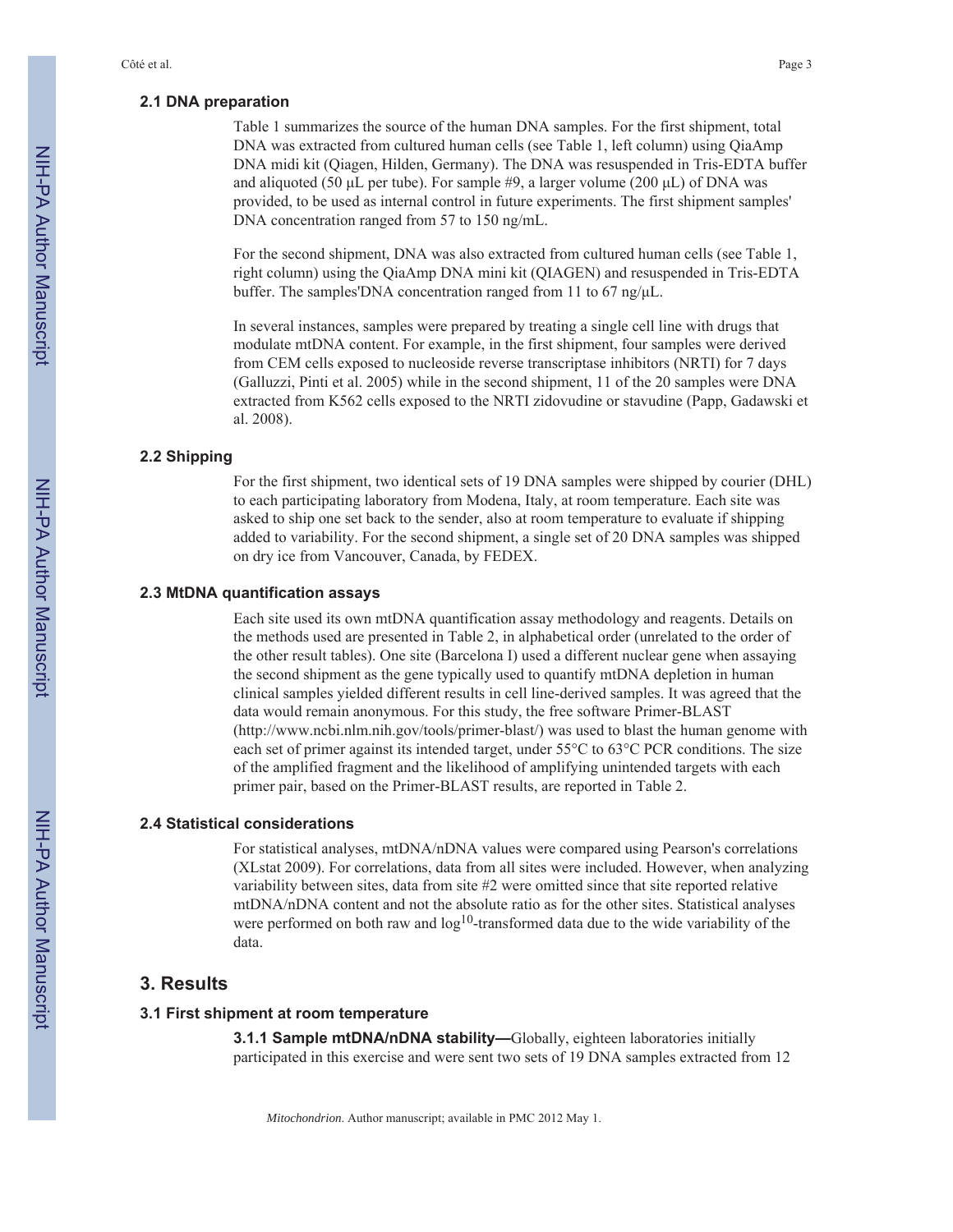#### **2.1 DNA preparation**

Table 1 summarizes the source of the human DNA samples. For the first shipment, total DNA was extracted from cultured human cells (see Table 1, left column) using QiaAmp DNA midi kit (Qiagen, Hilden, Germany). The DNA was resuspended in Tris-EDTA buffer and aliquoted (50  $\mu$ L per tube). For sample #9, a larger volume (200  $\mu$ L) of DNA was provided, to be used as internal control in future experiments. The first shipment samples' DNA concentration ranged from 57 to 150 ng/mL.

For the second shipment, DNA was also extracted from cultured human cells (see Table 1, right column) using the QiaAmp DNA mini kit (QIAGEN) and resuspended in Tris-EDTA buffer. The samples'DNA concentration ranged from 11 to 67 ng/ $\mu$ L.

In several instances, samples were prepared by treating a single cell line with drugs that modulate mtDNA content. For example, in the first shipment, four samples were derived from CEM cells exposed to nucleoside reverse transcriptase inhibitors (NRTI) for 7 days (Galluzzi, Pinti et al. 2005) while in the second shipment, 11 of the 20 samples were DNA extracted from K562 cells exposed to the NRTI zidovudine or stavudine (Papp, Gadawski et al. 2008).

#### **2.2 Shipping**

For the first shipment, two identical sets of 19 DNA samples were shipped by courier (DHL) to each participating laboratory from Modena, Italy, at room temperature. Each site was asked to ship one set back to the sender, also at room temperature to evaluate if shipping added to variability. For the second shipment, a single set of 20 DNA samples was shipped on dry ice from Vancouver, Canada, by FEDEX.

#### **2.3 MtDNA quantification assays**

Each site used its own mtDNA quantification assay methodology and reagents. Details on the methods used are presented in Table 2, in alphabetical order (unrelated to the order of the other result tables). One site (Barcelona I) used a different nuclear gene when assaying the second shipment as the gene typically used to quantify mtDNA depletion in human clinical samples yielded different results in cell line-derived samples. It was agreed that the data would remain anonymous. For this study, the free software Primer-BLAST (http://www.ncbi.nlm.nih.gov/tools/primer-blast/) was used to blast the human genome with each set of primer against its intended target, under 55°C to 63°C PCR conditions. The size of the amplified fragment and the likelihood of amplifying unintended targets with each primer pair, based on the Primer-BLAST results, are reported in Table 2.

#### **2.4 Statistical considerations**

For statistical analyses, mtDNA/nDNA values were compared using Pearson's correlations (XLstat 2009). For correlations, data from all sites were included. However, when analyzing variability between sites, data from site #2 were omitted since that site reported relative mtDNA/nDNA content and not the absolute ratio as for the other sites. Statistical analyses were performed on both raw and  $log<sup>10</sup>$ -transformed data due to the wide variability of the data.

## **3. Results**

#### **3.1 First shipment at room temperature**

**3.1.1 Sample mtDNA/nDNA stability—**Globally, eighteen laboratories initially participated in this exercise and were sent two sets of 19 DNA samples extracted from 12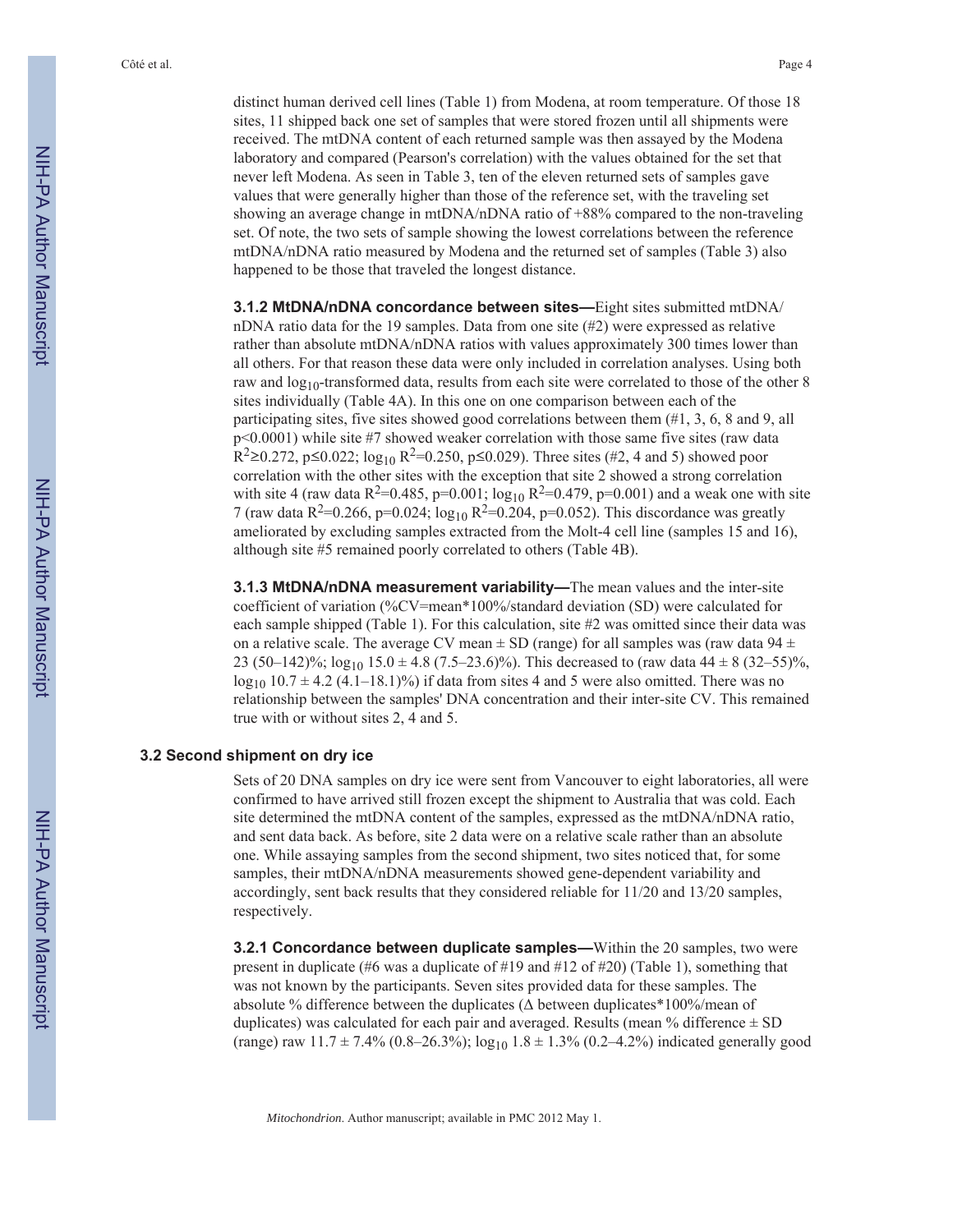Côté et al. Page 4

distinct human derived cell lines (Table 1) from Modena, at room temperature. Of those 18 sites, 11 shipped back one set of samples that were stored frozen until all shipments were received. The mtDNA content of each returned sample was then assayed by the Modena laboratory and compared (Pearson's correlation) with the values obtained for the set that never left Modena. As seen in Table 3, ten of the eleven returned sets of samples gave values that were generally higher than those of the reference set, with the traveling set showing an average change in mtDNA/nDNA ratio of +88% compared to the non-traveling set. Of note, the two sets of sample showing the lowest correlations between the reference mtDNA/nDNA ratio measured by Modena and the returned set of samples (Table 3) also happened to be those that traveled the longest distance.

**3.1.2 MtDNA/nDNA concordance between sites—**Eight sites submitted mtDNA/ nDNA ratio data for the 19 samples. Data from one site (#2) were expressed as relative rather than absolute mtDNA/nDNA ratios with values approximately 300 times lower than all others. For that reason these data were only included in correlation analyses. Using both raw and  $log_{10}$ -transformed data, results from each site were correlated to those of the other 8 sites individually (Table 4A). In this one on one comparison between each of the participating sites, five sites showed good correlations between them (#1, 3, 6, 8 and 9, all p<0.0001) while site #7 showed weaker correlation with those same five sites (raw data  $R^2 \ge 0.272$ , p $\le 0.022$ ; log<sub>10</sub>  $R^2 = 0.250$ , p $\le 0.029$ ). Three sites (#2, 4 and 5) showed poor correlation with the other sites with the exception that site 2 showed a strong correlation with site 4 (raw data R<sup>2</sup>=0.485, p=0.001;  $\log_{10}$  R<sup>2</sup>=0.479, p=0.001) and a weak one with site 7 (raw data  $R^2=0.266$ , p=0.024;  $\log_{10} R^2=0.204$ , p=0.052). This discordance was greatly ameliorated by excluding samples extracted from the Molt-4 cell line (samples 15 and 16), although site #5 remained poorly correlated to others (Table 4B).

**3.1.3 MtDNA/nDNA measurement variability—**The mean values and the inter-site coefficient of variation (%CV=mean\*100%/standard deviation (SD) were calculated for each sample shipped (Table 1). For this calculation, site #2 was omitted since their data was on a relative scale. The average CV mean  $\pm$  SD (range) for all samples was (raw data 94  $\pm$ 23 (50–142)%;  $\log_{10} 15.0 \pm 4.8$  (7.5–23.6)%). This decreased to (raw data 44  $\pm$  8 (32–55)%,  $log_{10} 10.7 \pm 4.2$  (4.1–18.1)%) if data from sites 4 and 5 were also omitted. There was no relationship between the samples' DNA concentration and their inter-site CV. This remained true with or without sites 2, 4 and 5.

#### **3.2 Second shipment on dry ice**

Sets of 20 DNA samples on dry ice were sent from Vancouver to eight laboratories, all were confirmed to have arrived still frozen except the shipment to Australia that was cold. Each site determined the mtDNA content of the samples, expressed as the mtDNA/nDNA ratio, and sent data back. As before, site 2 data were on a relative scale rather than an absolute one. While assaying samples from the second shipment, two sites noticed that, for some samples, their mtDNA/nDNA measurements showed gene-dependent variability and accordingly, sent back results that they considered reliable for 11/20 and 13/20 samples, respectively.

**3.2.1 Concordance between duplicate samples—**Within the 20 samples, two were present in duplicate (#6 was a duplicate of #19 and #12 of #20) (Table 1), something that was not known by the participants. Seven sites provided data for these samples. The absolute % difference between the duplicates ( $\Delta$  between duplicates\*100%/mean of duplicates) was calculated for each pair and averaged. Results (mean % difference  $\pm$  SD (range) raw  $11.7 \pm 7.4\%$  (0.8–26.3%);  $\log_{10} 1.8 \pm 1.3\%$  (0.2–4.2%) indicated generally good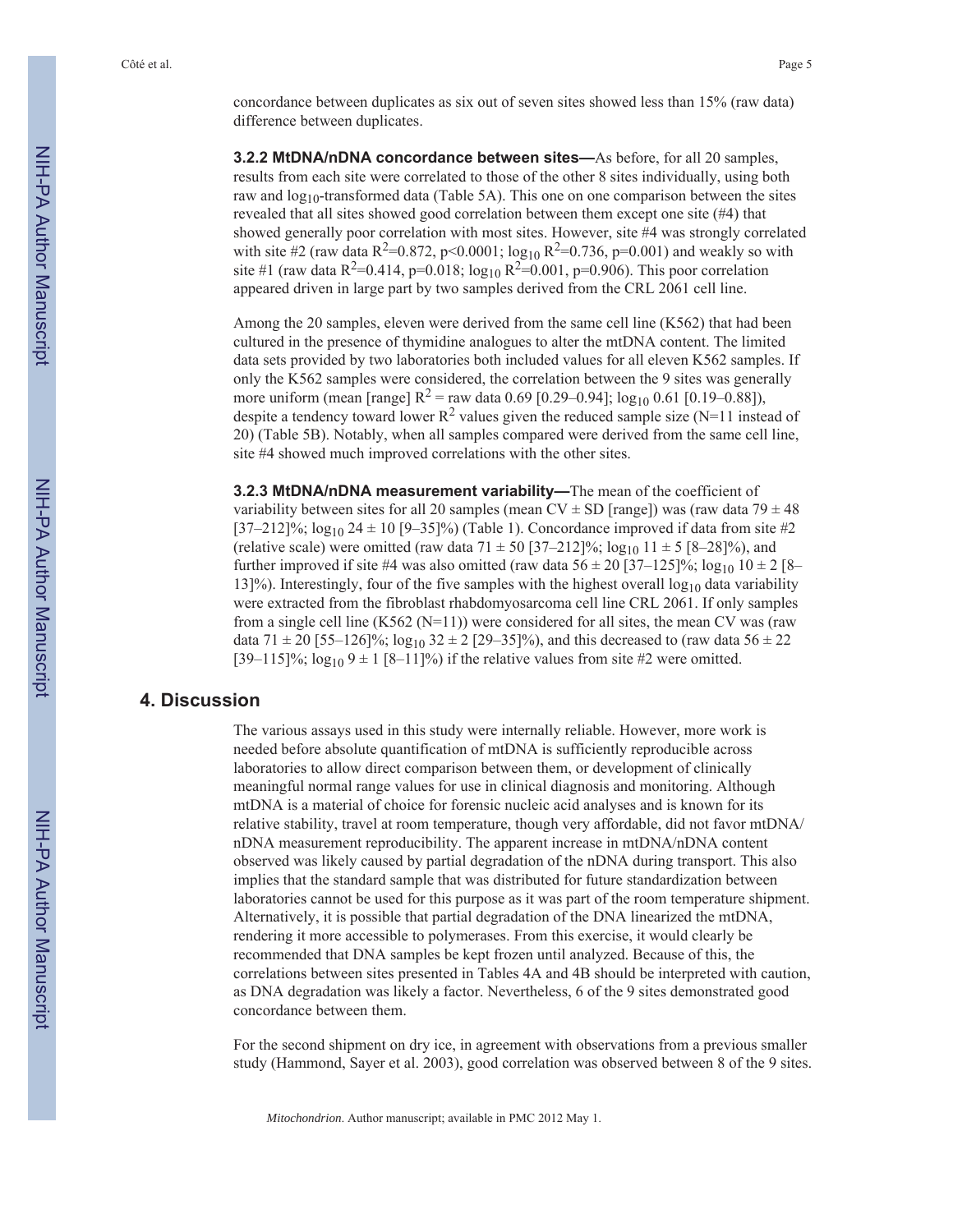concordance between duplicates as six out of seven sites showed less than 15% (raw data) difference between duplicates.

**3.2.2 MtDNA/nDNA concordance between sites—**As before, for all 20 samples, results from each site were correlated to those of the other 8 sites individually, using both raw and  $log_{10}$ -transformed data (Table 5A). This one on one comparison between the sites revealed that all sites showed good correlation between them except one site (#4) that showed generally poor correlation with most sites. However, site #4 was strongly correlated with site #2 (raw data R<sup>2</sup>=0.872, p<0.0001; log<sub>10</sub> R<sup>2</sup>=0.736, p=0.001) and weakly so with site #1 (raw data R<sup>2</sup>=0.414, p=0.018; log<sub>10</sub> R<sup>2</sup>=0.001, p=0.906). This poor correlation appeared driven in large part by two samples derived from the CRL 2061 cell line.

Among the 20 samples, eleven were derived from the same cell line (K562) that had been cultured in the presence of thymidine analogues to alter the mtDNA content. The limited data sets provided by two laboratories both included values for all eleven K562 samples. If only the K562 samples were considered, the correlation between the 9 sites was generally more uniform (mean [range]  $R^2$  = raw data 0.69 [0.29–0.94];  $\log_{10}$  0.61 [0.19–0.88]), despite a tendency toward lower  $R^2$  values given the reduced sample size (N=11 instead of 20) (Table 5B). Notably, when all samples compared were derived from the same cell line, site #4 showed much improved correlations with the other sites.

**3.2.3 MtDNA/nDNA measurement variability—**The mean of the coefficient of variability between sites for all 20 samples (mean CV  $\pm$  SD [range]) was (raw data 79  $\pm$  48  $[37–212]\%$ ;  $\log_{10} 24 \pm 10$  [9–35]%) (Table 1). Concordance improved if data from site #2 (relative scale) were omitted (raw data  $71 \pm 50$  [37–212]%; log<sub>10</sub> 11  $\pm 5$  [8–28]%), and further improved if site #4 was also omitted (raw data  $56 \pm 20$  [37–125]%;  $\log_{10} 10 \pm 2$  [8– 13]%). Interestingly, four of the five samples with the highest overall  $log_{10}$  data variability were extracted from the fibroblast rhabdomyosarcoma cell line CRL 2061. If only samples from a single cell line (K562 (N=11)) were considered for all sites, the mean CV was (raw data 71  $\pm$  20 [55–126]%; log<sub>10</sub> 32  $\pm$  2 [29–35]%), and this decreased to (raw data 56  $\pm$  22 [39–115]%;  $\log_{10} 9 \pm 1$  [8–11]%) if the relative values from site #2 were omitted.

## **4. Discussion**

The various assays used in this study were internally reliable. However, more work is needed before absolute quantification of mtDNA is sufficiently reproducible across laboratories to allow direct comparison between them, or development of clinically meaningful normal range values for use in clinical diagnosis and monitoring. Although mtDNA is a material of choice for forensic nucleic acid analyses and is known for its relative stability, travel at room temperature, though very affordable, did not favor mtDNA/ nDNA measurement reproducibility. The apparent increase in mtDNA/nDNA content observed was likely caused by partial degradation of the nDNA during transport. This also implies that the standard sample that was distributed for future standardization between laboratories cannot be used for this purpose as it was part of the room temperature shipment. Alternatively, it is possible that partial degradation of the DNA linearized the mtDNA, rendering it more accessible to polymerases. From this exercise, it would clearly be recommended that DNA samples be kept frozen until analyzed. Because of this, the correlations between sites presented in Tables 4A and 4B should be interpreted with caution, as DNA degradation was likely a factor. Nevertheless, 6 of the 9 sites demonstrated good concordance between them.

For the second shipment on dry ice, in agreement with observations from a previous smaller study (Hammond, Sayer et al. 2003), good correlation was observed between 8 of the 9 sites.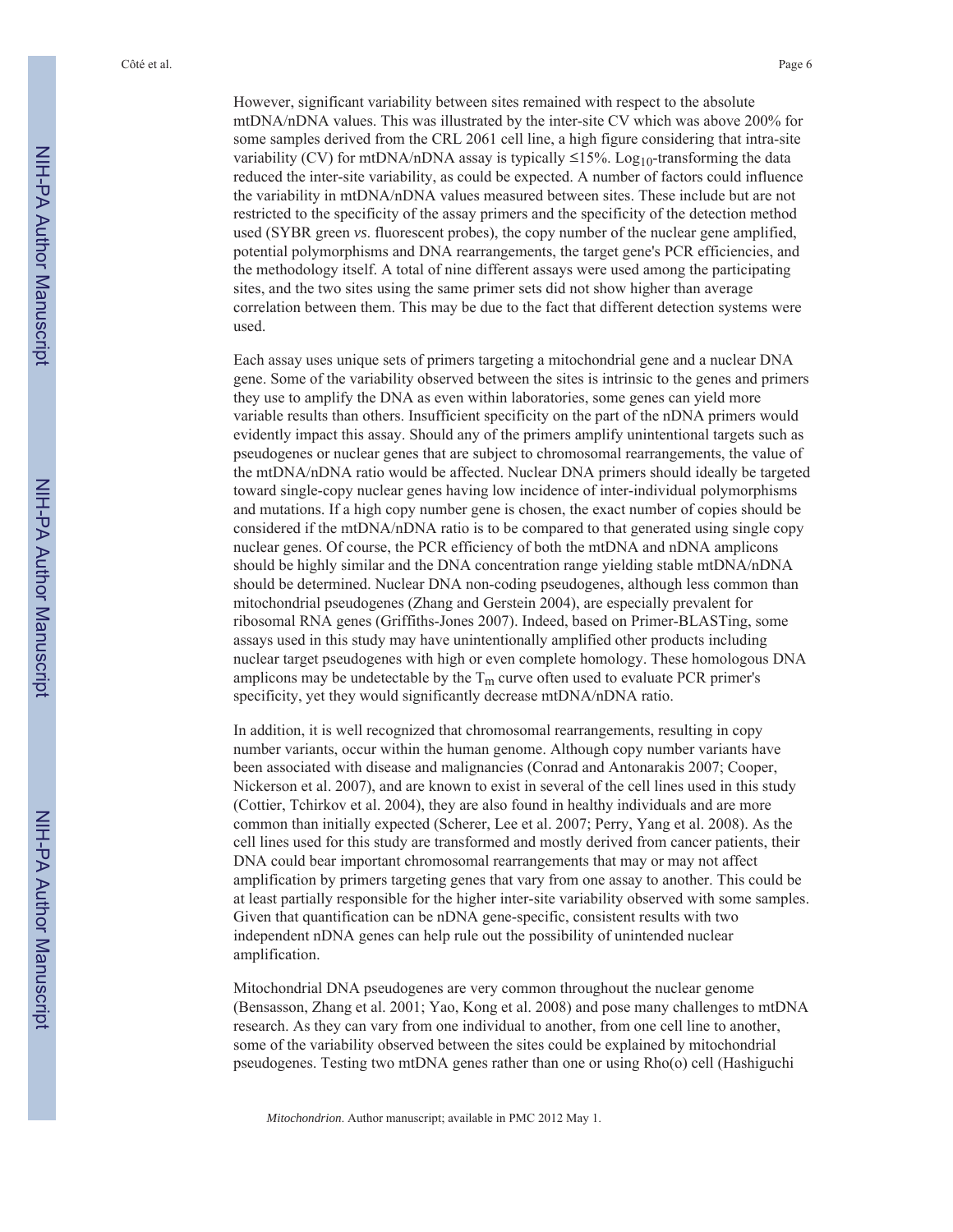However, significant variability between sites remained with respect to the absolute mtDNA/nDNA values. This was illustrated by the inter-site CV which was above 200% for some samples derived from the CRL 2061 cell line, a high figure considering that intra-site variability (CV) for mtDNA/nDNA assay is typically  $\leq$ 15%. Log<sub>10</sub>-transforming the data reduced the inter-site variability, as could be expected. A number of factors could influence the variability in mtDNA/nDNA values measured between sites. These include but are not restricted to the specificity of the assay primers and the specificity of the detection method used (SYBR green *vs*. fluorescent probes), the copy number of the nuclear gene amplified, potential polymorphisms and DNA rearrangements, the target gene's PCR efficiencies, and the methodology itself. A total of nine different assays were used among the participating sites, and the two sites using the same primer sets did not show higher than average correlation between them. This may be due to the fact that different detection systems were used.

Each assay uses unique sets of primers targeting a mitochondrial gene and a nuclear DNA gene. Some of the variability observed between the sites is intrinsic to the genes and primers they use to amplify the DNA as even within laboratories, some genes can yield more variable results than others. Insufficient specificity on the part of the nDNA primers would evidently impact this assay. Should any of the primers amplify unintentional targets such as pseudogenes or nuclear genes that are subject to chromosomal rearrangements, the value of the mtDNA/nDNA ratio would be affected. Nuclear DNA primers should ideally be targeted toward single-copy nuclear genes having low incidence of inter-individual polymorphisms and mutations. If a high copy number gene is chosen, the exact number of copies should be considered if the mtDNA/nDNA ratio is to be compared to that generated using single copy nuclear genes. Of course, the PCR efficiency of both the mtDNA and nDNA amplicons should be highly similar and the DNA concentration range yielding stable mtDNA/nDNA should be determined. Nuclear DNA non-coding pseudogenes, although less common than mitochondrial pseudogenes (Zhang and Gerstein 2004), are especially prevalent for ribosomal RNA genes (Griffiths-Jones 2007). Indeed, based on Primer-BLASTing, some assays used in this study may have unintentionally amplified other products including nuclear target pseudogenes with high or even complete homology. These homologous DNA amplicons may be undetectable by the  $T_m$  curve often used to evaluate PCR primer's specificity, yet they would significantly decrease mtDNA/nDNA ratio.

In addition, it is well recognized that chromosomal rearrangements, resulting in copy number variants, occur within the human genome. Although copy number variants have been associated with disease and malignancies (Conrad and Antonarakis 2007; Cooper, Nickerson et al. 2007), and are known to exist in several of the cell lines used in this study (Cottier, Tchirkov et al. 2004), they are also found in healthy individuals and are more common than initially expected (Scherer, Lee et al. 2007; Perry, Yang et al. 2008). As the cell lines used for this study are transformed and mostly derived from cancer patients, their DNA could bear important chromosomal rearrangements that may or may not affect amplification by primers targeting genes that vary from one assay to another. This could be at least partially responsible for the higher inter-site variability observed with some samples. Given that quantification can be nDNA gene-specific, consistent results with two independent nDNA genes can help rule out the possibility of unintended nuclear amplification.

Mitochondrial DNA pseudogenes are very common throughout the nuclear genome (Bensasson, Zhang et al. 2001; Yao, Kong et al. 2008) and pose many challenges to mtDNA research. As they can vary from one individual to another, from one cell line to another, some of the variability observed between the sites could be explained by mitochondrial pseudogenes. Testing two mtDNA genes rather than one or using Rho(o) cell (Hashiguchi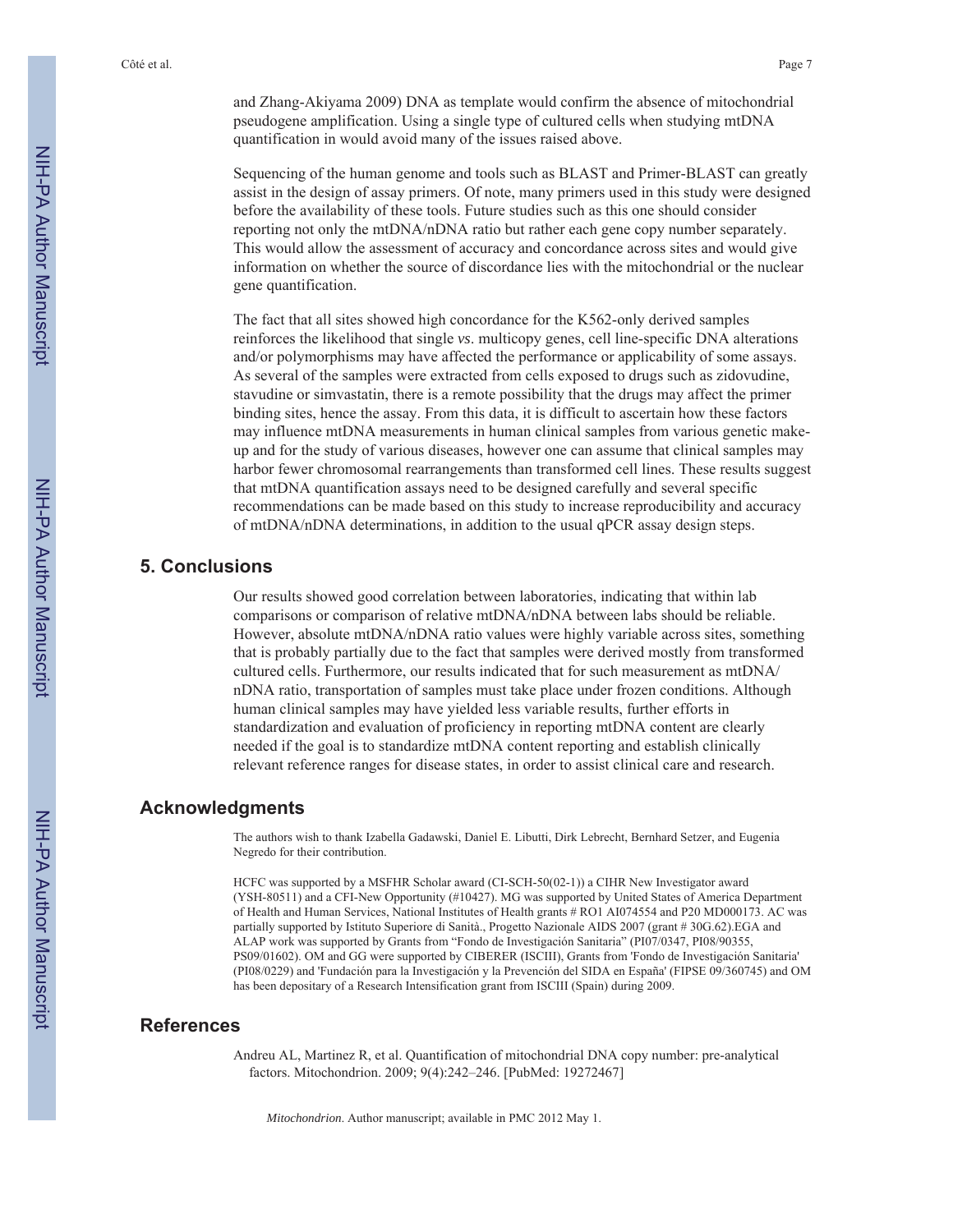and Zhang-Akiyama 2009) DNA as template would confirm the absence of mitochondrial pseudogene amplification. Using a single type of cultured cells when studying mtDNA quantification in would avoid many of the issues raised above.

Sequencing of the human genome and tools such as BLAST and Primer-BLAST can greatly assist in the design of assay primers. Of note, many primers used in this study were designed before the availability of these tools. Future studies such as this one should consider reporting not only the mtDNA/nDNA ratio but rather each gene copy number separately. This would allow the assessment of accuracy and concordance across sites and would give information on whether the source of discordance lies with the mitochondrial or the nuclear gene quantification.

The fact that all sites showed high concordance for the K562-only derived samples reinforces the likelihood that single *vs*. multicopy genes, cell line-specific DNA alterations and/or polymorphisms may have affected the performance or applicability of some assays. As several of the samples were extracted from cells exposed to drugs such as zidovudine, stavudine or simvastatin, there is a remote possibility that the drugs may affect the primer binding sites, hence the assay. From this data, it is difficult to ascertain how these factors may influence mtDNA measurements in human clinical samples from various genetic makeup and for the study of various diseases, however one can assume that clinical samples may harbor fewer chromosomal rearrangements than transformed cell lines. These results suggest that mtDNA quantification assays need to be designed carefully and several specific recommendations can be made based on this study to increase reproducibility and accuracy of mtDNA/nDNA determinations, in addition to the usual qPCR assay design steps.

## **5. Conclusions**

Our results showed good correlation between laboratories, indicating that within lab comparisons or comparison of relative mtDNA/nDNA between labs should be reliable. However, absolute mtDNA/nDNA ratio values were highly variable across sites, something that is probably partially due to the fact that samples were derived mostly from transformed cultured cells. Furthermore, our results indicated that for such measurement as mtDNA/ nDNA ratio, transportation of samples must take place under frozen conditions. Although human clinical samples may have yielded less variable results, further efforts in standardization and evaluation of proficiency in reporting mtDNA content are clearly needed if the goal is to standardize mtDNA content reporting and establish clinically relevant reference ranges for disease states, in order to assist clinical care and research.

### **Acknowledgments**

The authors wish to thank Izabella Gadawski, Daniel E. Libutti, Dirk Lebrecht, Bernhard Setzer, and Eugenia Negredo for their contribution.

HCFC was supported by a MSFHR Scholar award (CI-SCH-50(02-1)) a CIHR New Investigator award (YSH-80511) and a CFI-New Opportunity (#10427). MG was supported by United States of America Department of Health and Human Services, National Institutes of Health grants # RO1 AI074554 and P20 MD000173. AC was partially supported by Istituto Superiore di Sanità., Progetto Nazionale AIDS 2007 (grant # 30G.62).EGA and ALAP work was supported by Grants from "Fondo de Investigación Sanitaria" (PI07/0347, PI08/90355, PS09/01602). OM and GG were supported by CIBERER (ISCIII), Grants from 'Fondo de Investigación Sanitaria' (PI08/0229) and 'Fundación para la Investigación y la Prevención del SIDA en España' (FIPSE 09/360745) and OM has been depositary of a Research Intensification grant from ISCIII (Spain) during 2009.

### **References**

Andreu AL, Martinez R, et al. Quantification of mitochondrial DNA copy number: pre-analytical factors. Mitochondrion. 2009; 9(4):242–246. [PubMed: 19272467]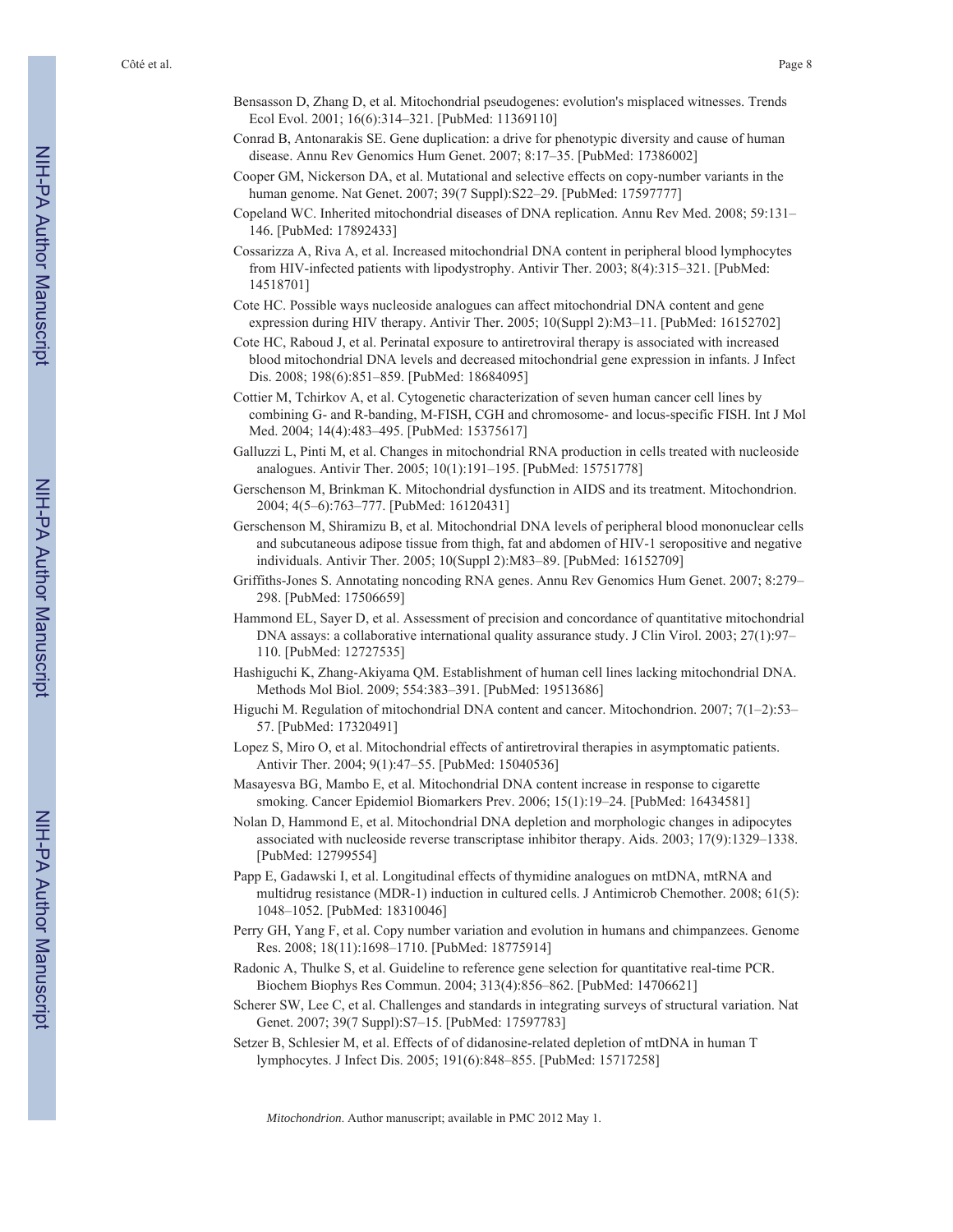- Bensasson D, Zhang D, et al. Mitochondrial pseudogenes: evolution's misplaced witnesses. Trends Ecol Evol. 2001; 16(6):314–321. [PubMed: 11369110]
- Conrad B, Antonarakis SE. Gene duplication: a drive for phenotypic diversity and cause of human disease. Annu Rev Genomics Hum Genet. 2007; 8:17–35. [PubMed: 17386002]
- Cooper GM, Nickerson DA, et al. Mutational and selective effects on copy-number variants in the human genome. Nat Genet. 2007; 39(7 Suppl):S22–29. [PubMed: 17597777]
- Copeland WC. Inherited mitochondrial diseases of DNA replication. Annu Rev Med. 2008; 59:131– 146. [PubMed: 17892433]
- Cossarizza A, Riva A, et al. Increased mitochondrial DNA content in peripheral blood lymphocytes from HIV-infected patients with lipodystrophy. Antivir Ther. 2003; 8(4):315–321. [PubMed: 14518701]
- Cote HC. Possible ways nucleoside analogues can affect mitochondrial DNA content and gene expression during HIV therapy. Antivir Ther. 2005; 10(Suppl 2):M3–11. [PubMed: 16152702]
- Cote HC, Raboud J, et al. Perinatal exposure to antiretroviral therapy is associated with increased blood mitochondrial DNA levels and decreased mitochondrial gene expression in infants. J Infect Dis. 2008; 198(6):851–859. [PubMed: 18684095]
- Cottier M, Tchirkov A, et al. Cytogenetic characterization of seven human cancer cell lines by combining G- and R-banding, M-FISH, CGH and chromosome- and locus-specific FISH. Int J Mol Med. 2004; 14(4):483–495. [PubMed: 15375617]
- Galluzzi L, Pinti M, et al. Changes in mitochondrial RNA production in cells treated with nucleoside analogues. Antivir Ther. 2005; 10(1):191–195. [PubMed: 15751778]
- Gerschenson M, Brinkman K. Mitochondrial dysfunction in AIDS and its treatment. Mitochondrion. 2004; 4(5–6):763–777. [PubMed: 16120431]
- Gerschenson M, Shiramizu B, et al. Mitochondrial DNA levels of peripheral blood mononuclear cells and subcutaneous adipose tissue from thigh, fat and abdomen of HIV-1 seropositive and negative individuals. Antivir Ther. 2005; 10(Suppl 2):M83–89. [PubMed: 16152709]
- Griffiths-Jones S. Annotating noncoding RNA genes. Annu Rev Genomics Hum Genet. 2007; 8:279– 298. [PubMed: 17506659]
- Hammond EL, Sayer D, et al. Assessment of precision and concordance of quantitative mitochondrial DNA assays: a collaborative international quality assurance study. J Clin Virol. 2003; 27(1):97– 110. [PubMed: 12727535]
- Hashiguchi K, Zhang-Akiyama QM. Establishment of human cell lines lacking mitochondrial DNA. Methods Mol Biol. 2009; 554:383–391. [PubMed: 19513686]
- Higuchi M. Regulation of mitochondrial DNA content and cancer. Mitochondrion. 2007; 7(1–2):53– 57. [PubMed: 17320491]
- Lopez S, Miro O, et al. Mitochondrial effects of antiretroviral therapies in asymptomatic patients. Antivir Ther. 2004; 9(1):47–55. [PubMed: 15040536]
- Masayesva BG, Mambo E, et al. Mitochondrial DNA content increase in response to cigarette smoking. Cancer Epidemiol Biomarkers Prev. 2006; 15(1):19–24. [PubMed: 16434581]
- Nolan D, Hammond E, et al. Mitochondrial DNA depletion and morphologic changes in adipocytes associated with nucleoside reverse transcriptase inhibitor therapy. Aids. 2003; 17(9):1329–1338. [PubMed: 12799554]
- Papp E, Gadawski I, et al. Longitudinal effects of thymidine analogues on mtDNA, mtRNA and multidrug resistance (MDR-1) induction in cultured cells. J Antimicrob Chemother. 2008; 61(5): 1048–1052. [PubMed: 18310046]
- Perry GH, Yang F, et al. Copy number variation and evolution in humans and chimpanzees. Genome Res. 2008; 18(11):1698–1710. [PubMed: 18775914]
- Radonic A, Thulke S, et al. Guideline to reference gene selection for quantitative real-time PCR. Biochem Biophys Res Commun. 2004; 313(4):856–862. [PubMed: 14706621]
- Scherer SW, Lee C, et al. Challenges and standards in integrating surveys of structural variation. Nat Genet. 2007; 39(7 Suppl):S7–15. [PubMed: 17597783]
- Setzer B, Schlesier M, et al. Effects of of didanosine-related depletion of mtDNA in human T lymphocytes. J Infect Dis. 2005; 191(6):848–855. [PubMed: 15717258]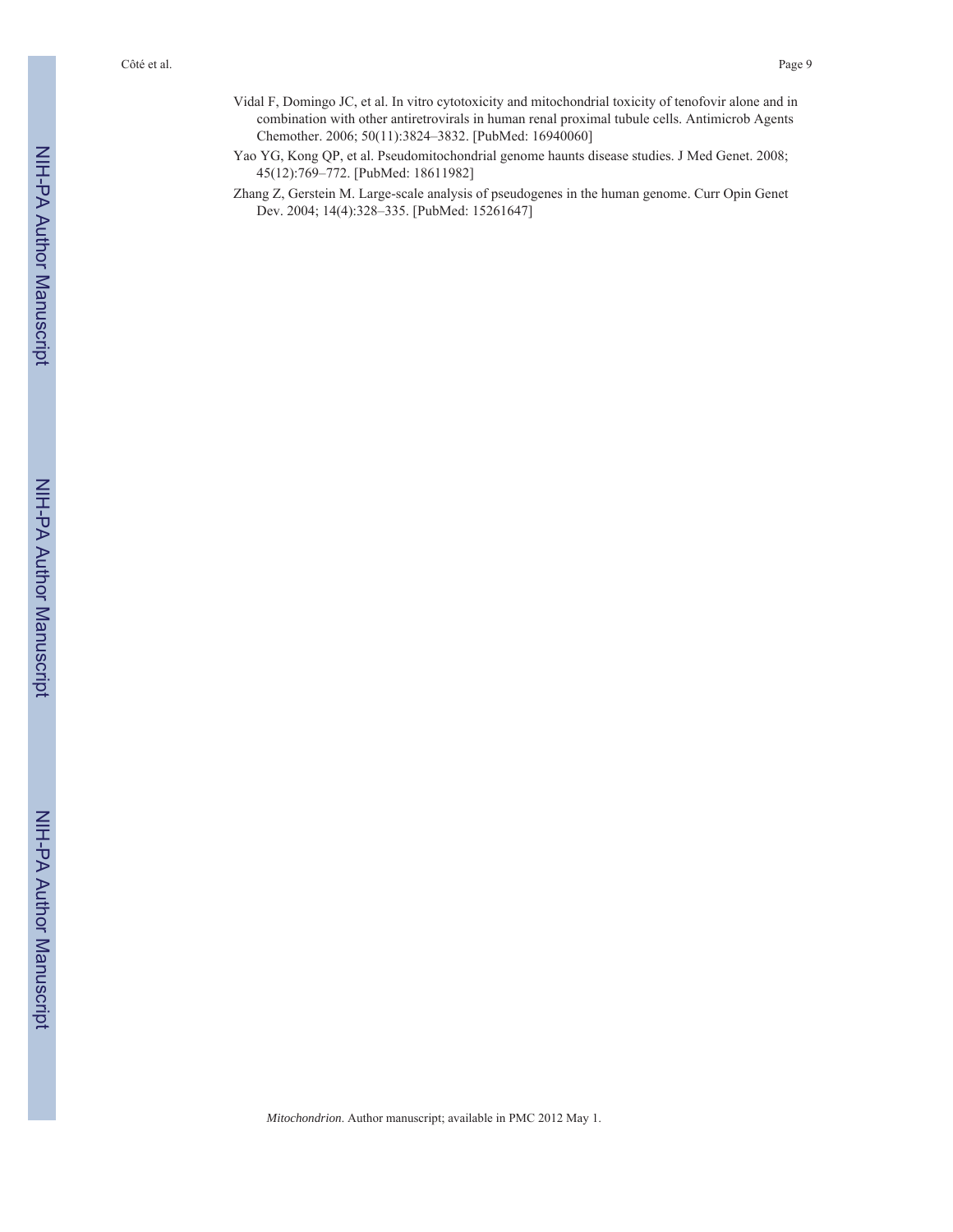- Vidal F, Domingo JC, et al. In vitro cytotoxicity and mitochondrial toxicity of tenofovir alone and in combination with other antiretrovirals in human renal proximal tubule cells. Antimicrob Agents Chemother. 2006; 50(11):3824–3832. [PubMed: 16940060]
- Yao YG, Kong QP, et al. Pseudomitochondrial genome haunts disease studies. J Med Genet. 2008; 45(12):769–772. [PubMed: 18611982]
- Zhang Z, Gerstein M. Large-scale analysis of pseudogenes in the human genome. Curr Opin Genet Dev. 2004; 14(4):328–335. [PubMed: 15261647]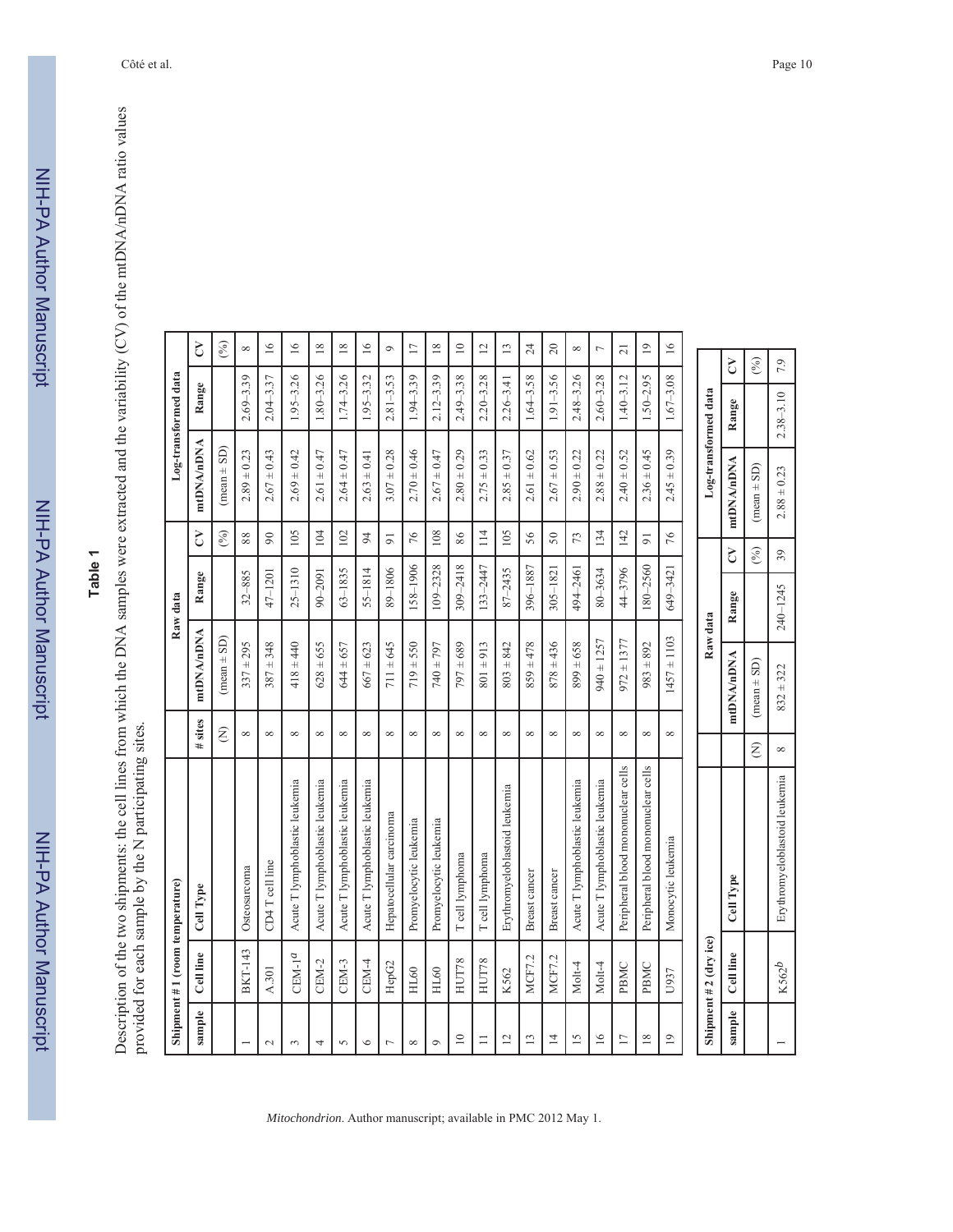NIH-PA Author Manuscript NIH-PA Author Manuscript

# **Table 1**

Description of the two shipments: the cell lines from which the DNA samples were extracted and the variability (CV) of the mtDNA/nDNA ratio values<br>provided for each sample by the N participating sites. Description of the two shipments: the cell lines from which the DNA samples were extracted and the variability (CV) of the mtDNA/nDNA ratio values provided for each sample by the N participating sites.

|                 | Shipment #1 (room temperature) |                                    |               |                 | Raw data    |                |                      | Log-transformed data |                   |
|-----------------|--------------------------------|------------------------------------|---------------|-----------------|-------------|----------------|----------------------|----------------------|-------------------|
| sample          | Cell line                      | Cell Type                          | # sites       | mtDNA/nDNA      | Range       | Š              | mtDNA/nDNA           | Range                | S                 |
|                 |                                |                                    | Ê             | $(mean \pm SD)$ |             | (%)            | $(mean \pm SD)$      |                      | (° <sub>0</sub> ) |
|                 | <b>BKT-143</b>                 | Osteosarcoma                       | ${}^{\infty}$ | $337 \pm 295$   | $32 - 885$  | $88\,$         | $2.89 \pm 0.23$      | $2.69 - 3.39$        | ${}^{\infty}$     |
| $\sim$          | A.301                          | CD4 T cell line                    | $\infty$      | $387 \pm 348$   | 47-1201     | $90\,$         | $2.67 \pm 0.43$      | $2.04 - 3.37$        | $\geq$            |
| 3               | $CEM-1a$                       | Acute T lymphoblastic leukemia     | ${}^{\circ}$  | $418 + 440$     | $25 - 1310$ | 105            | $2.69 \pm 0.42$      | $1.95 - 3.26$        | $\geq$            |
| 4               | CEM-2                          | Acute T lymphoblastic leukemia     | $\infty$      | $628 + 655$     | 90-2091     | 104            | $2.61 \pm 0.47$      | $1.80 - 3.26$        | $\overline{18}$   |
| 5               | CEM-3                          | Acute T lymphoblastic leukemia     | $\infty$      | $644 \pm 657$   | $63 - 1835$ | 102            | $2.64 \pm 0.47$      | $1.74 - 3.26$        | $18\,$            |
| $\circ$         | CEM-4                          | Acute T lymphoblastic leukemia     | $\infty$      | $667 \pm 623$   | 55-1814     | $\overline{5}$ | $2.63 \pm 0.41$      | $1.95 - 3.32$        | 16                |
| $\overline{ }$  | HepG2                          | Hepatocellular carcinoma           | $\infty$      | $711 + 645$     | 89-1806     | $\overline{5}$ | $3.07 \pm 0.28$      | $2.81 - 3.53$        | $\mathfrak{S}$    |
| $\infty$        | HL60                           | Promyelocytic leukemia             | $\infty$      | $719 + 550$     | 158-1906    | 76             | $2.70 \pm 0.46$      | $1.94 - 3.39$        | $\overline{17}$   |
| $\circ$         | HL60                           | Promyelocytic leukemia             | $\infty$      | $740 + 797$     | 109-2328    | 108            | $2.67 \pm 0.47$      | $2.12 - 3.39$        | $\overline{18}$   |
| $\supseteq$     | HUT78                          | T cell lymphoma                    | ${}^{\infty}$ | $797 \pm 689$   | 309-2418    | 86             | $2.80 \pm 0.29$      | $2.49 - 3.38$        | $\supseteq$       |
| $\equiv$        | HUT78                          | T cell lymphoma                    | $\infty$      | $801 \pm 913$   | 133-2447    | 114            | $2.75 \pm 0.33$      | $2.20 - 3.28$        | $\overline{c}$    |
| $\overline{c}$  | K562                           | Erythromyeloblastoid leukemia      | $\infty$      | $803 \pm 842$   | 87-2435     | 105            | $2.85 \pm 0.37$      | $2.26 - 3.41$        | $\overline{13}$   |
| 13              | <b>MCF7.2</b>                  | Breast cancer                      | ${}^{\infty}$ | $859 \pm 478$   | 396–1887    | 56             | $2.61 \pm 0.62$      | $1.64 - 3.58$        | $24\,$            |
| $\overline{1}$  | <b>MCF7.2</b>                  | Breast cancer                      | $\infty$      | $878 + 436$     | $305 - 182$ | 50             | $2.67 \pm 0.53$      | $1.91 - 3.56$        | $\overline{c}$    |
| $\overline{15}$ | Molt-4                         | Acute T lymphoblastic leukemia     | $\infty$      | $899 \pm 658$   | 494-2461    | 73             | $2.90 \pm 0.22$      | $2.48 - 3.26$        | ${}^{\infty}$     |
| $\overline{16}$ | Molt-4                         | Acute T lymphoblastic leukemia     | $\infty$      | $940 \pm 1257$  | 80-3634     | 134            | $2.88 \pm 0.22$      | $2.60 - 3.28$        | $\overline{ }$    |
| $\overline{17}$ | PBMC                           | Peripheral blood mononuclear cells | $\infty$      | $972 \pm 1377$  | 44-3796     | 142            | $2.40 \pm 0.52$      | $1.40 - 3.12$        | $\overline{21}$   |
| $\overline{18}$ | PBMC                           | Peripheral blood mononuclear cells | $\infty$      | $983 + 892$     | 180-2560    | $\overline{9}$ | $2.36 \pm 0.45$      | $1.50 - 2.95$        | $\overline{19}$   |
| $\overline{1}$  | U937                           | Monocytic leukemia                 | $\infty$      | $1457 \pm 1103$ | 649-3421    | 76             | $2.45 \pm 0.39$      | $1.67 - 3.08$        | $\geq$            |
|                 |                                |                                    |               |                 |             |                |                      |                      |                   |
|                 | Shipment $# 2$ (dry ice)       |                                    |               | Raw data        |             |                | Log-transformed data |                      |                   |
| sample          | Cell line                      | Cell Type                          |               | ntDNA/nDNA      | Range       | Š              | mtDNA/nDNA           | Range                | $\overline{c}$    |
|                 |                                |                                    | Ê             | $(mean \pm SD)$ |             | (%)            | $(mean \pm SD)$      |                      | (%)               |

*Mitochondrion*. Author manuscript; available in PMC 2012 May 1.

K562*b* Erythromyeloblastoid leukemia 8 832 ± 322 240–1245 39 2.88 ± 0.23 2.38–3.10 7.9

 $\infty$ 

Erythromyeloblastoid leukemia

 $K562^b$ 

 $832 + 322$ 

7.9

 $2.38 - 3.10$ 

 $2.88 \pm 0.23$ 

 $39$ 

240-1245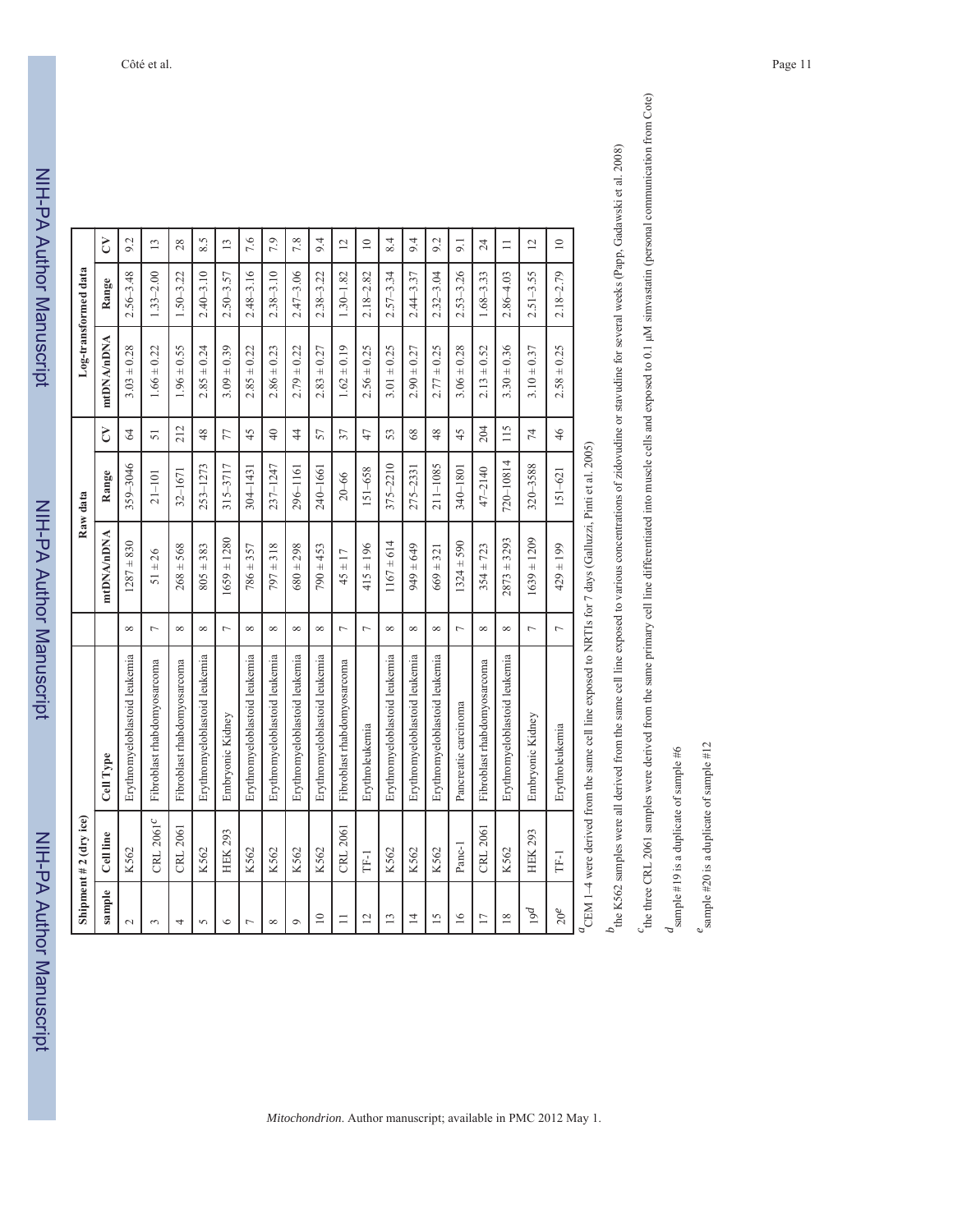|                 | Shipment $# 2$ (dry ice) |                                                                                                                                |                |                 | Raw data    |                 |                 | Log-transformed data |                 |
|-----------------|--------------------------|--------------------------------------------------------------------------------------------------------------------------------|----------------|-----------------|-------------|-----------------|-----------------|----------------------|-----------------|
| sample          | Cell line                | Cell Type                                                                                                                      |                | mtDNA/nDNA      | Range       | $\mathcal{L}$   | mtDNA/nDNA      | Range                | S               |
| $\sim$          | K562                     | Erythromyeloblastoid leukemia                                                                                                  | $\infty$       | $1287 + 830$    | 359-3046    | $\mathcal{Z}$   | $3.03 \pm 0.28$ | $2.56 - 3.48$        | 9.2             |
| $\sim$          | CRL 2061 <sup>c</sup>    | Fibroblast rhabdomyosarcoma                                                                                                    | $\overline{ }$ | $51 \pm 26$     | $21 - 101$  | $\overline{51}$ | $1.66 \pm 0.22$ | $1.33 - 2.00$        | $\overline{13}$ |
| 4               | CRL 2061                 | Fibroblast rhabdomyosarcoma                                                                                                    | $\infty$       | $268 + 568$     | 32-1671     | 212             | $1.96 \pm 0.55$ | $1.50 - 3.22$        | 28              |
| $\sigma$        | K562                     | Erythromyeloblastoid leukemia                                                                                                  | $\infty$       | $805 \pm 383$   | 253-1273    | 48              | $2.85 \pm 0.24$ | $2.40 - 3.10$        | 8.5             |
| $\bullet$       | <b>HEK 293</b>           | Embryonic Kidney                                                                                                               | $\overline{ }$ | $1659 \pm 1280$ | 315-3717    | 77              | $3.09 \pm 0.39$ | $2.50 - 3.57$        | $\overline{13}$ |
| $\overline{ }$  | K562                     | Erythromyeloblastoid leukemia                                                                                                  | ${}^{\infty}$  | $786 + 357$     | 304-1431    | 45              | $2.85 \pm 0.22$ | $2.48 - 3.16$        | 7.6             |
| $\infty$        | K562                     | Erythromyeloblastoid leukemia                                                                                                  | $^{\circ}$     | $797 \pm 318$   | 237-1247    | $\overline{40}$ | $2.86 \pm 0.23$ | $2.38 - 3.10$        | 7.9             |
| $\circ$         | K562                     | Erythromyeloblastoid leukemia                                                                                                  | $\infty$       | $680 \pm 298$   | 296-1161    | $\overline{4}$  | $2.79 \pm 0.22$ | $2.47 - 3.06$        | 7.8             |
| $\supseteq$     | K562                     | Erythromyeloblastoid leukemia                                                                                                  | $\infty$       | $790 \pm 453$   | 240-1661    | 57              | $2.83 \pm 0.27$ | $2.38 - 3.22$        | 9.4             |
| $\equiv$        | CRL 2061                 | Fibroblast rhabdomyosarcoma                                                                                                    | $\overline{a}$ | $45 \pm 17$     | $20 - 66$   | 37              | $1.62 \pm 0.19$ | $1.30 - 1.82$        | $\overline{c}$  |
| $\overline{2}$  | TF-1                     | Erythroleukemia                                                                                                                | $\overline{a}$ | $415 \pm 196$   | 151-658     | 47              | $2.56 \pm 0.25$ | $2.18 - 2.82$        | $\supseteq$     |
| $\overline{13}$ | K562                     | Erythromyeloblastoid leukemia                                                                                                  | $\infty$       | $1167 \pm 614$  | 375-2210    | 53              | $3.01 \pm 0.25$ | $2.57 - 3.34$        | 8.4             |
| $\overline{4}$  | K562                     | Erythromyeloblastoid leukemia                                                                                                  | ${}^{\infty}$  | $649 \pm 649$   | 275-2331    | $68$            | $2.90 \pm 0.27$ | $2.44 - 3.37$        | 9.4             |
| $\overline{15}$ | K562                     | Erythromyeloblastoid leukemia                                                                                                  | ${}^{\infty}$  | $669 \pm 321$   | 211-1085    | 48              | $2.77 \pm 0.25$ | $2.32 - 3.04$        | 9.2             |
| $\leq$          | Panc-1                   | Pancreatic carcinoma                                                                                                           | $\overline{a}$ | $1324 \pm 590$  | 340-1801    | 45              | $3.06 \pm 0.28$ | $2.53 - 3.26$        | 9.1             |
| $\overline{17}$ | CRL 2061                 | Fibroblast rhabdomyosarcoma                                                                                                    | $\infty$       | $354 \pm 723$   | $47 - 2140$ | 204             | $2.13 \pm 0.52$ | $1.68 - 3.33$        | 24              |
| $\overline{18}$ | K562                     | Erythromyeloblastoid leukemia                                                                                                  | ${}^{\infty}$  | $2873 + 3293$   | 720-10814   | 115             | $3.30 \pm 0.36$ | $2.86 - 4.03$        | $\equiv$        |
| 19d             | <b>HEK 293</b>           | Embryonic Kidney                                                                                                               | $\overline{ }$ | $1639 \pm 1209$ | 320-3588    | 74              | $3.10 \pm 0.37$ | $2.51 - 3.55$        | $\overline{c}$  |
| $20^e$          | [L]                      | Erythroleukemia                                                                                                                | $\overline{a}$ | $429 \pm 199$   | $151 - 621$ | 46              | $2.58 \pm 0.25$ | $2.18 - 2.79$        | $\supseteq$     |
|                 |                          | $\frac{d}{d}$ CEM $1$ – $\Delta$ were derived from the same cell line exposed to NRTIs for 7 days (Galluzzi Pinti et al. 2005) |                |                 |             |                 |                 |                      |                 |

 $a_{\text{CEM 1-4}$  were derived from the same cell line exposed to NRTIs for 7 days (Galluzzi, Pinti et al. 2005)

the K562 samples were all derived from the same cell line exposed to various concentrations of zidovudine or stavudine for several weeks (Papp, Gadawski et al. 2008) *b*<sub>the K562 samples were all derived from the same cell line exposed to various concentrations of zidovudine or stavudine for several weeks (Papp, Gadawski et al. 2008)</sub>

the three CRL 2061 samples were derived from the same primary cell line differentiated into muscle cells and exposed to 0.1 µM simvastatin (personal communication from Cote) <sup>c</sup>the three CRL 2061 samples were derived from the same primary cell line differentiated into muscle cells and exposed to 0.1 µM simvastatin (personal communication from Cote)

 $d$  sample #19 is a duplicate of sample #6  $d$  sample #19 is a duplicate of sample #6

 $e<sub>sample #20 is a duplicate of sample #12</sub>$ 

 $e$  sample #20 is a duplicate of sample #12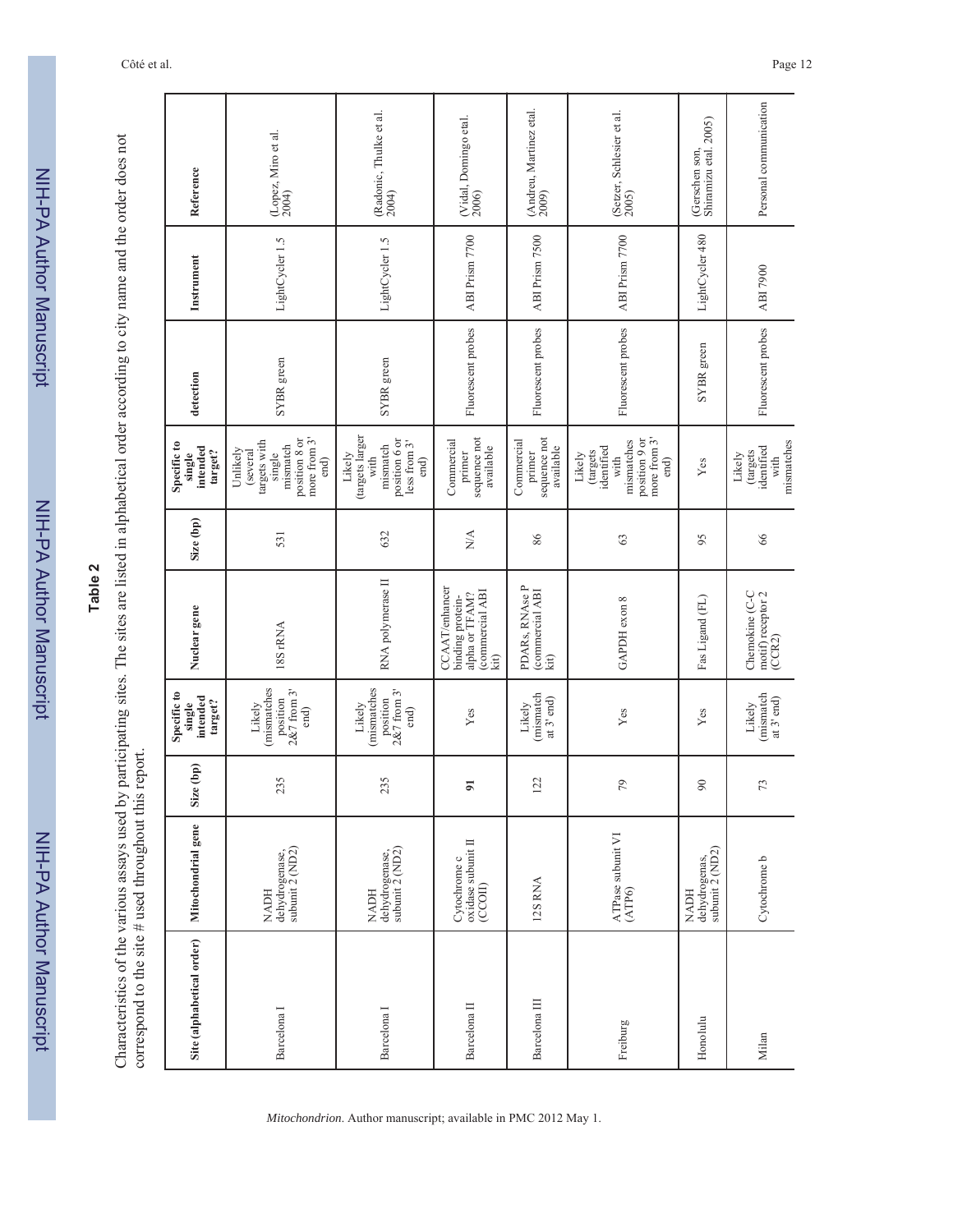| L              |
|----------------|
| ≍              |
|                |
| $\frac{1}{2}$  |
|                |
|                |
| <b>HULLIOI</b> |
|                |
|                |
|                |
|                |
|                |
| Į              |
|                |
| אומו ומסרות    |
|                |
|                |
|                |
|                |
|                |
|                |
|                |
|                |
|                |
|                |
|                |
|                |

# **Table 2**

Characteristics of the various assays used by participating sites. The sites are listed in alphabetical order according to city name and the order does not<br>correspond to the site # used throughout this report. Characteristics of the various assays used by participating sites. The sites are listed in alphabetical order according to city name and the order does not correspond to the site # used throughout this report.

| Reference                                    | (Lopez, Miro et al.<br>$2004$ )                                                                     | (Radonic, Thulke et al.<br>2004)                                                       | (Vidal, Domingo etal.<br>2006)                                                        | (Andreu, Martinez etal.<br>2009)                  | (Setzer, Schlesier et al.<br>2005)                                                              | Shiramizu etal. 2005)<br>(Gerschen son,  | Personal communication                                 |
|----------------------------------------------|-----------------------------------------------------------------------------------------------------|----------------------------------------------------------------------------------------|---------------------------------------------------------------------------------------|---------------------------------------------------|-------------------------------------------------------------------------------------------------|------------------------------------------|--------------------------------------------------------|
| Instrument                                   | LightCycler 1.5                                                                                     | LightCycler 1.5                                                                        | ABI Prism 7700                                                                        | ABI Prism 7500                                    | ABI Prism 7700                                                                                  | LightCycler 480                          | ABI 7900                                               |
| detection                                    | SYBR green                                                                                          | SYBR green                                                                             | Fluorescent probes                                                                    | Fluorescent probes                                | Fluorescent probes                                                                              | SYBR green                               | Fluorescent probes                                     |
| Specific to<br>intended<br>target?<br>single | position 8 or<br>more from 3'<br>targets with<br>mismatch<br>Unlikely<br>(several<br>single<br>end) | (targets larger<br>position 6 or<br>less from 3'<br>mismatch<br>Likely<br>with<br>end) | sequence not<br>Commercial<br>available<br>primer                                     | sequence not<br>Commercial<br>available<br>primer | more from 3'<br>position 9 or<br>mismatches<br>identified<br>(targets<br>Likely<br>with<br>end) | Yes                                      | mismatches<br>identified<br>(targets<br>Likely<br>with |
| Size (bp)                                    | 531                                                                                                 | 632                                                                                    | $\sum_{i=1}^{n}$                                                                      | 86                                                | 63                                                                                              | 95                                       | 66                                                     |
| Nuclear gene                                 | 18S rRNA                                                                                            | RNA polymerase II                                                                      | <b>CCAAT/enhancer</b><br>commercial ABI<br>alpha or TFAM?<br>binding protein-<br>kit) | PDARs, RNAse P<br>(commercial ABI<br>kit)         | GAPDH exon 8                                                                                    | Fas Ligand (FL)                          | Chemokine (C-C<br>motif) receptor 2<br>(CCR2)          |
| Specific to<br>intended<br>target?<br>single | mismatches<br>$2&7$ from $3'$<br>position<br>Likely<br>end)                                         | (mismatches<br>$2\&7$ from $3'$<br>position<br>Likely<br>end)                          | Yes                                                                                   | (mismatch<br>at 3' end)<br>Likely                 | Yes                                                                                             | Yes                                      | (mismatch<br>at 3' end)<br>Likely                      |
| Size (bp)                                    | 235                                                                                                 | 235                                                                                    | $\overline{5}$                                                                        | 122                                               | 79                                                                                              | 90                                       | 73                                                     |
| Mitochondrial gene                           | $\operatorname{dchydrogense},$ subunit 2 (ND2)<br><b>NADH</b>                                       | dehydrogenase,<br>subunit 2 (ND2)<br><b>NADH</b>                                       | Cytochrome c<br>oxidase subunit II<br>(CCOII)                                         | 12S RNA                                           | ATPase subunit VI<br>(ATP6)                                                                     | NADH<br>dehydrogenas,<br>subunit 2 (ND2) | Cytochrome b                                           |
| Site (alphabetical order)                    | Barcelona I                                                                                         | Barcelona I                                                                            | Barcelona II                                                                          | Barcelona III                                     | Freiburg                                                                                        | Honolulu                                 | Milan                                                  |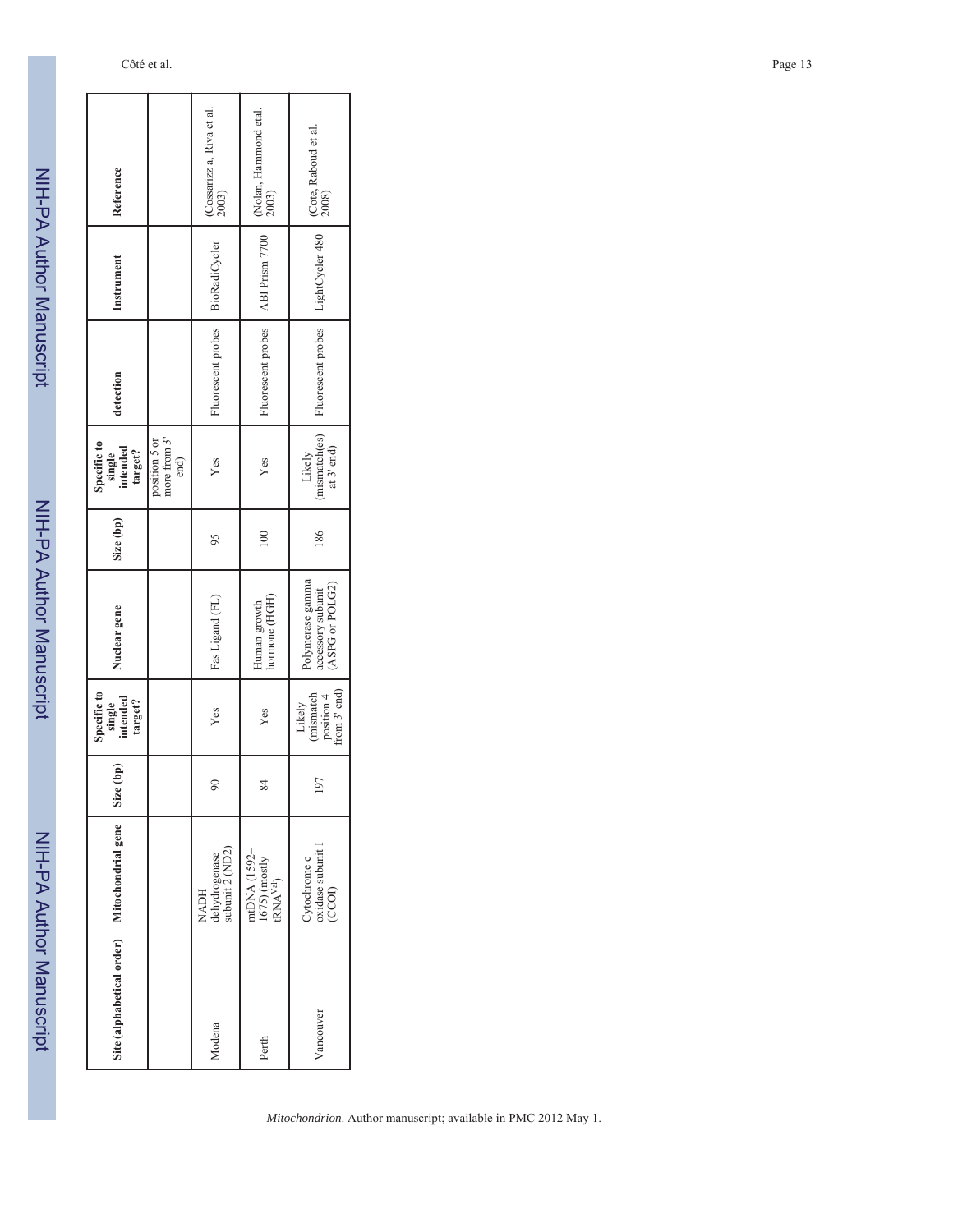NIH-PA Author Manuscript NIH-PA Author Manuscript

NIH-PA Author Manuscript

NIH-PA Author Manuscript

I

| Reference                                    |                                       | (Cossarizz a, Riva et al.<br>2003)       | (Nolan, Hammond etal.<br>2003)                         | (Cote, Raboud et al.<br>2008)                                                             |
|----------------------------------------------|---------------------------------------|------------------------------------------|--------------------------------------------------------|-------------------------------------------------------------------------------------------|
| Instrument                                   |                                       | BioRadiCycler                            | ABI Prism 7700                                         | LightCycler 480                                                                           |
| detection                                    |                                       | Fluorescent probes                       | Fluorescent probes                                     | Fluorescent probes                                                                        |
| Specific to<br>single<br>intended<br>target? | more from 3'<br>position 5 or<br>end) | Yes                                      | Yes                                                    | $\begin{array}{c} \text{Likely} \\ \text{(mismatch(es)} \\ \text{at 3' end)} \end{array}$ |
| Size (bp)                                    |                                       | 95                                       | 100                                                    | 186                                                                                       |
| Nuclear gene                                 |                                       | Fas Ligand (FL)                          | hormone (HGH)<br>Human growth                          | Polymerase gamma<br>accessory subunit<br>(ASPG or POLG2)                                  |
| Specific to<br>single<br>intended<br>target? |                                       | Yes                                      | Yes                                                    | from $3'$ end)<br>mismatch<br>position 4<br>Likely                                        |
| Size (bp)                                    |                                       | $\boldsymbol{\mathcal{S}}$               | 84                                                     | 197                                                                                       |
| Mitochondrial gene                           |                                       | NADH<br>dehydrogenase<br>subunit 2 (ND2) | mtDNA (1592–<br>1675) (mostly<br>tRNA <sup>Val</sup> ) | Cytochrome c<br>oxidase subunit I<br>(CCOI)                                               |
| Site (alphabetical order)                    |                                       | Modena                                   | Perth                                                  | Vancouver                                                                                 |

Côté et al. Page 13

*Mitochondrion*. Author manuscript; available in PMC 2012 May 1.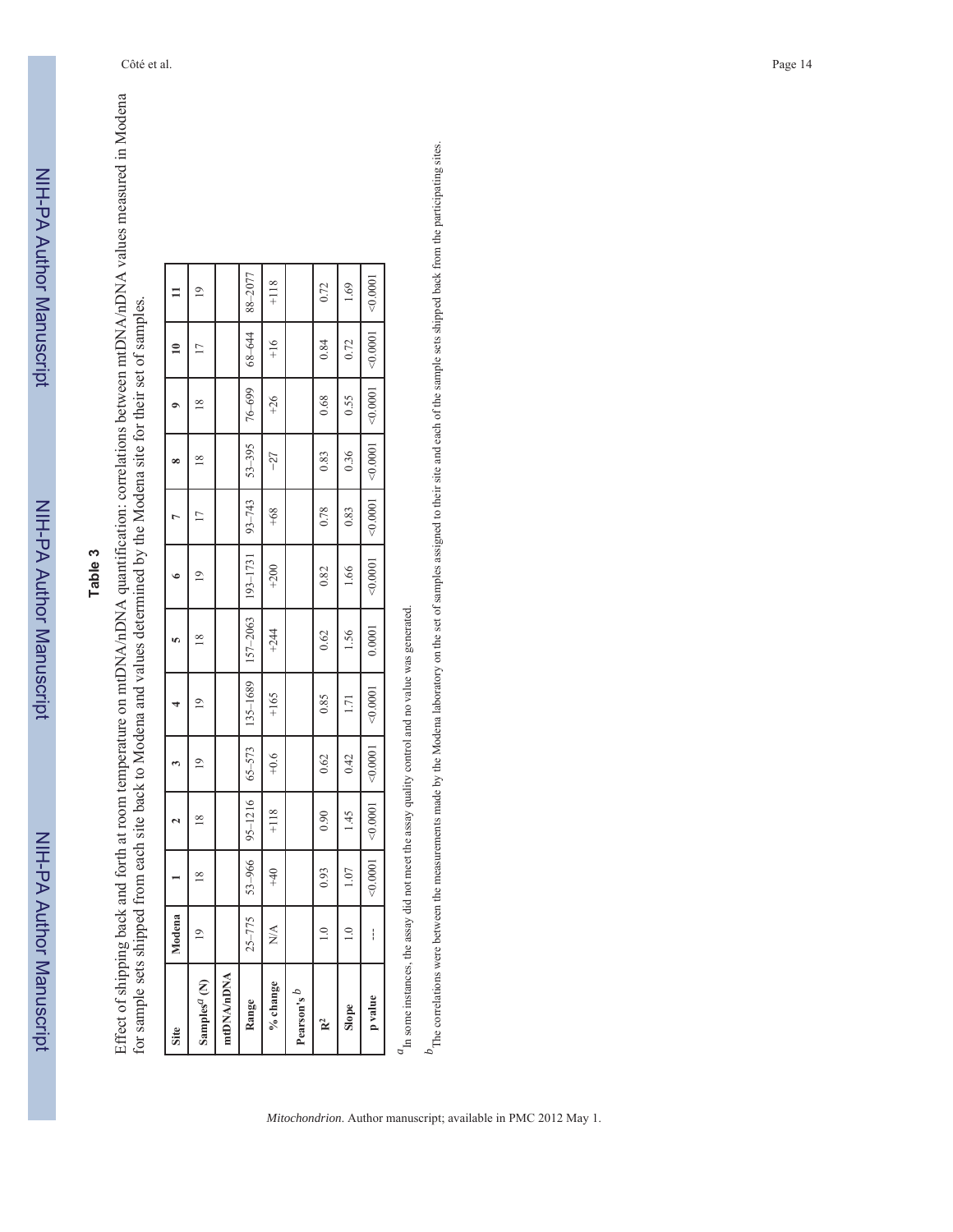NIH-PA Author Manuscript NIH-PA Author Manuscript

# **Table 3**

Effect of shipping back and forth at room temperature on mtDNA/nDNA quantification: correlations between mtDNA/nDNA values measured in Modena Effect of shipping back and forth at room temperature on mtDNA/nDNA quantification: correlations between mtDNA/nDNA values measured in Modena for sample sets shipped from each site back to Modena and values determined by the Modena site for their set of samples. for sample sets shipped from each site back to Modena and values determined by the Modena site for their set of samples.

| Site                                                                                          | odena<br>Ž     |                |               |               |                |                |          |            | œ        |          |                |               |
|-----------------------------------------------------------------------------------------------|----------------|----------------|---------------|---------------|----------------|----------------|----------|------------|----------|----------|----------------|---------------|
| Samples <sup>a</sup> (N)                                                                      | $\overline{1}$ | $\frac{8}{10}$ | $\frac{8}{1}$ | Φ             | $\overline{9}$ | $\frac{8}{18}$ | ∘        | Ū          | ∞        | ≌        | $\overline{1}$ | ۹             |
| mtDNA/nDNA                                                                                    |                |                |               |               |                |                |          |            |          |          |                |               |
| Range                                                                                         | $25 - 775$     | 53-966         | 95-1216       | $65 - 573$    | 135-1689       | 157-2063       | 193-1731 | $93 - 743$ | 53-395   | 76-699   | 68-644         | 88-2077       |
| % change                                                                                      | <b>N/A</b>     | $+40$          | $+118$        | $+0.6$        | $+165$         | $+244$         | $+200$   | $+68$      | $-27$    | $+26$    | $+16$          | $+118$        |
| Pearson's $\theta$                                                                            |                |                |               |               |                |                |          |            |          |          |                |               |
| $\mathbf{R}^2$                                                                                | $\frac{0}{1}$  | 0.93           | 0.90          | 0.62          | 0.85           | 0.62           | 0.82     | 0.78       | 0.83     | 0.68     | 0.84           | 0.72          |
| Slope                                                                                         | $\frac{1}{10}$ | 1.07           | 1.45          | 0.42          | 1.71           | $-56$          | 1.66     | 0.83       | 0.36     | 0.55     | 0.72           | 0.911         |
| p value                                                                                       | i              | < 0.0001       | < 0.0001      | $\leq 0.0001$ | 0.0001         | 0.0001         | < 0.0001 | 40.0001    | < 0.0001 | < 0.0001 | < 0.0001       | $\leq 0.0001$ |
| Th some instances the assay did not meet the assay quality control and no value was generated |                |                |               |               |                |                |          |            |          |          |                |               |

*a*In some instances, the assay did not meet the assay quality control and no value was generated.

 $b_{\rm}$  The correlations were between the measurements made by the Modena laboratory on the set of samples assigned to their site and each of the sample sets shipped back from the participating sites. <sup>*b*</sup>The correlations were between the measurements made by the Modena laboratory on the set samples assigned to the sample sets shipped back from the participating sites.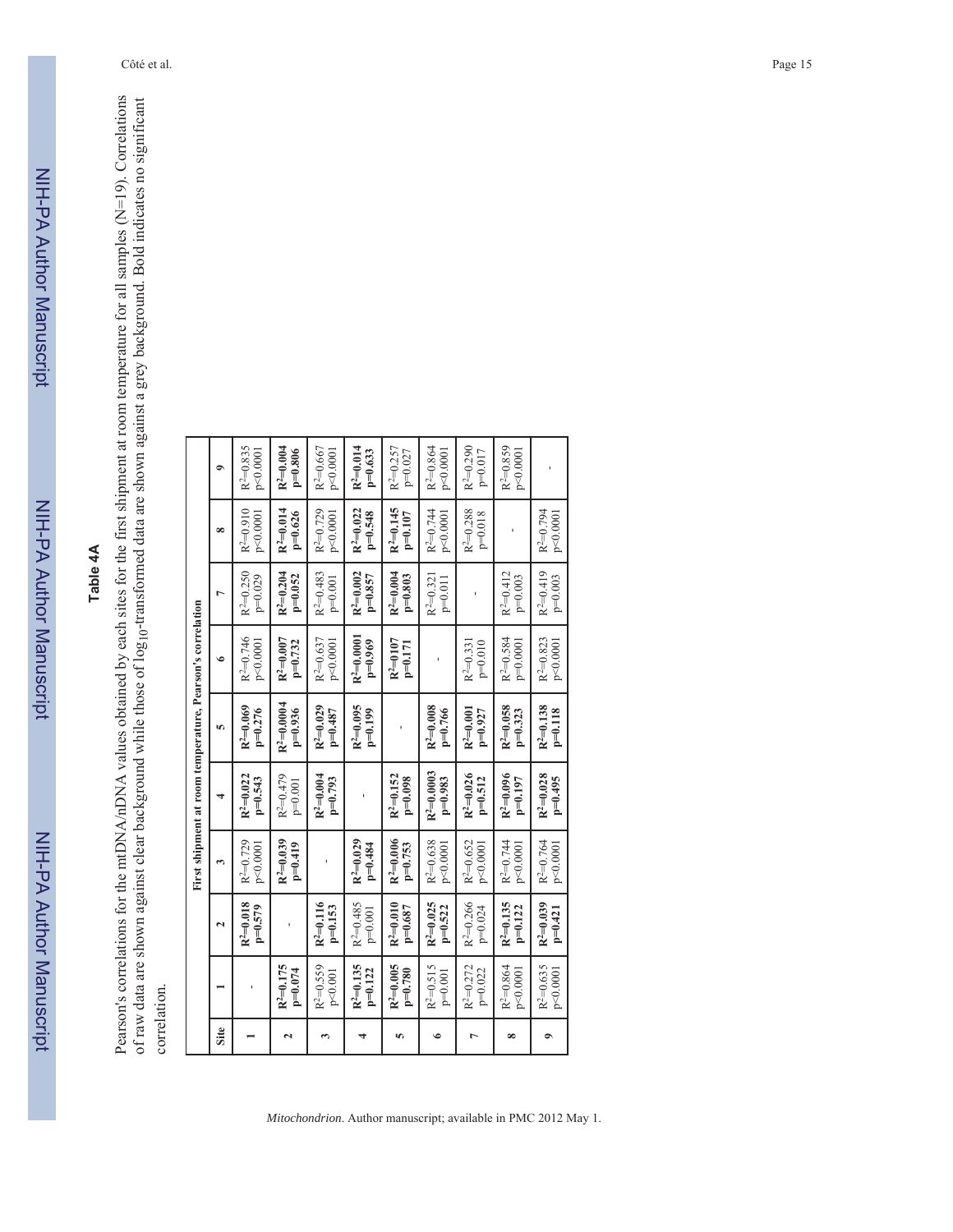# Table 4A **Table 4A**

Pearson's correlations for the mtDNA/nDNA values obtained by each sites for the first shipment at room temperature for all samples (N=19). Correlations Pearson's correlations for the mtDNA/nDNA values obtained by each sites for the first shipment at room temperature for all samples (N=19). Correlations of raw data are shown against clear background while those of log10-transformed data are shown against a grey background. Bold indicates no significant of raw data are shown against clear background while those of log10-transformed data are shown against a grey background. Bold indicates no significant correlation. correlation.

|                      |                            |                          |                          | First shipment at room temperature, Pearson's correlation |                                       |                                   |                          |                            |                          |
|----------------------|----------------------------|--------------------------|--------------------------|-----------------------------------------------------------|---------------------------------------|-----------------------------------|--------------------------|----------------------------|--------------------------|
| Site                 |                            | $\mathbf{r}$             | $\mathbf{c}$             |                                                           | īΩ,                                   | $\bullet$                         | $\overline{ }$           | $\infty$                   | $\bullet$                |
|                      |                            | $R^2=0.018$<br>$p=0.579$ | $R^2=0.729$<br>p<0.0001  | $R^2=0.022$<br>$p=0.543$                                  | $R^2=0.069$<br>$p=0.276$              | R <sup>2</sup> =0.746<br>p<0.0001 | $R^2=0.250$<br>$p=0.029$ | $R^2=0.910$<br>p<0.0001    | $R^2=0.835$<br>p<0.0001  |
| $\mathbf{\tilde{c}}$ | $R^2=0.175$<br>$p=0.074$   |                          | $R^2=0.039$<br>$p=0.419$ | $R^{2}=0.479$<br>$p=0.001$                                | $\rm R^2\!\!=\!\!0.0004$<br>$p=0.936$ | $R^2=0.007$<br>$p=0.732$          | $R^2=0.204$<br>$p=0.052$ | $R^2=0.014$<br>$p=0.626$   | $R^2=0.004$<br>$p=0.806$ |
| S                    | $R^2=0.559$<br>p<0.001     | $R^2=0.116$<br>$p=0.153$ |                          | $R^2=0.004$<br>$p=0.793$                                  | $R^2=0.029$<br>$p=0.487$              | $R^2=0.637$<br>p<0.0001           | $R^2=0.483$<br>$p=0.001$ | $R^2=0.729$<br>p<0.0001    | $R^2=0.667$<br>p<0.0001  |
| 4                    | $R^2=0.135$<br>$p=0.122$   | $R^2=0.485$<br>$p=0.001$ | $R^2=0.029$<br>$p=0.484$ |                                                           | $R^2=0.095$<br>$p=0.199$              | $R^2=0.0001$<br>$p=0.969$         | $R^2=0.002$<br>$p=0.857$ | $R^2=0.022$<br>$p=0.548$   | $R^2=0.014$<br>$p=0.633$ |
| VΩ                   | $R^2=0.005$<br>$p=0.780$   | $R^2=0.010$<br>$p=0.687$ | $R^2=0.006$<br>$p=0.753$ | $R^2=0.152$<br>$p=0.098$                                  |                                       | $R^2 = 0107$<br>$p=0.171$         | $R^2=0.004$<br>$p=0.803$ | $R^2=0.145$<br>$p=0.107$   | $R^2=0.257$<br>$p=0.027$ |
| $\bullet$            | $R^2=0.515$<br>$p=0.001$   | $R^2=0.025$<br>$p=0.522$ | $R^2=0.638$<br>p<0.0001  | $R^2=0.0003$<br>$p=0.983$                                 | $R^2=0.008$<br>$p=0.766$              |                                   | $R^2=0.321$<br>$p=0.011$ | $R^2=0.744$<br>p<0.0001    | $R^2=0.864$<br>p<0.0001  |
| $\overline{ }$       | $R^2 = 0.272$<br>$p=0.022$ | $R^{2}=0.266$<br>p=0.024 | $R^2=0.652$<br>p<0.0001  | $R^2=0.026$<br>$p=0.512$                                  | $R^2=0.001$<br>$p=0.927$              | $p=0.010$<br>$R^{2}=0.331$        |                          | $R^2 = 0.288$<br>$p=0.018$ | $R^2=0.290$<br>p=0.017   |
| $\infty$             | $R^2 = 0.864$<br>p<0.0001  | $R^2=0.135$<br>$p=0.122$ | $R^2=0.744$<br>p<0.0001  | $R^2=0.096$<br>$p=0.197$                                  | $R^2=0.058$<br>$p=0.323$              | $R^2 = 0.584$<br>$p=0.0001$       | $R^2=0.412$<br>$p=0.003$ |                            | $R^2=0.859$<br>p<0.0001  |
| $\bullet$            | $R^2=0.635$<br>p<0.0001    | $R^2=0.039$<br>$p=0.421$ | $R^2=0.764$<br>p<0.0001  | $R^2=0.028$<br>$p=0.495$                                  | $R^2=0.138$<br>$p=0.118$              | $R^2=0.823$<br>p<0.0001           | $R^2=0.419$<br>$p=0.003$ | $R^2=0.794$<br>p<0.0001    |                          |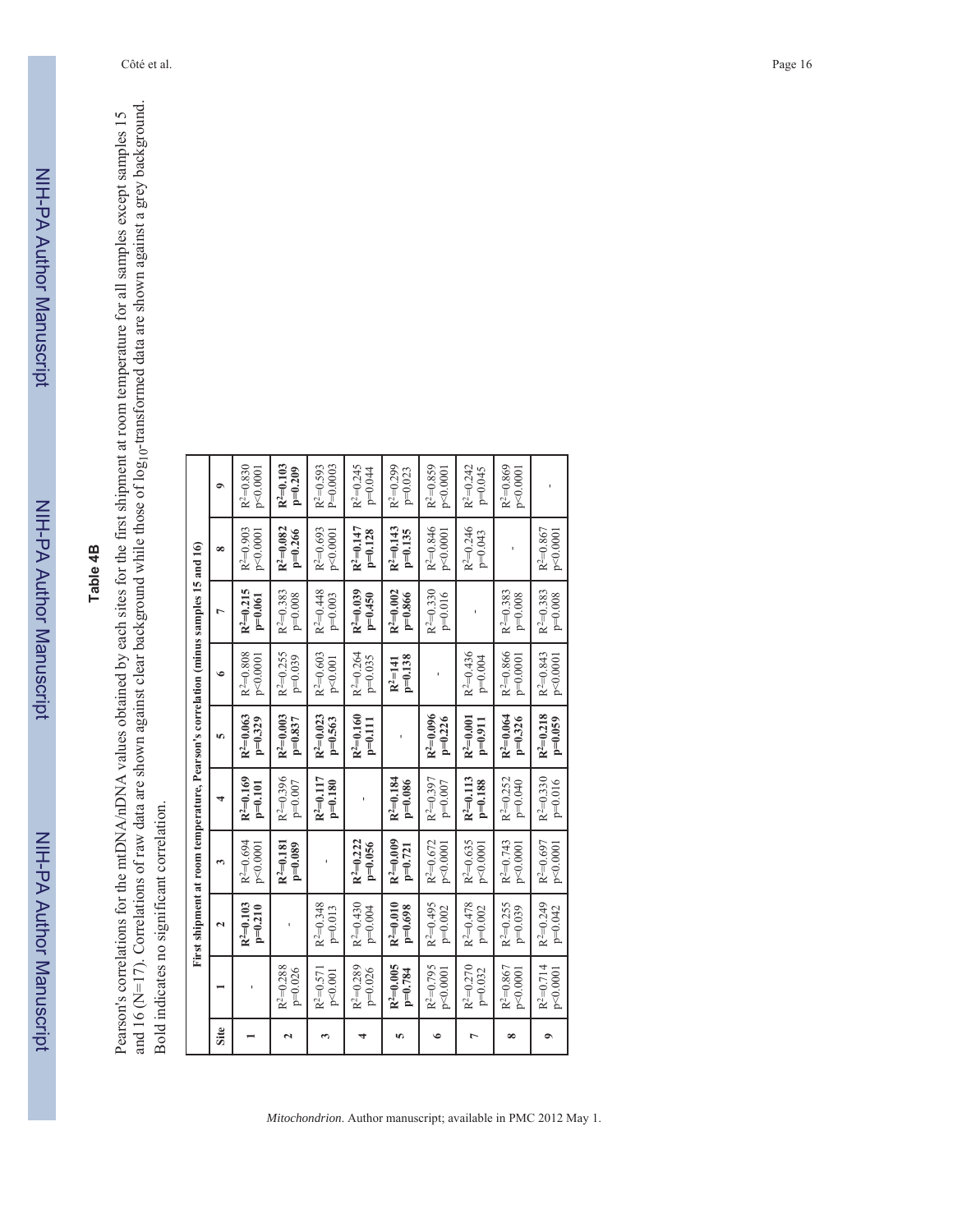# Table 4B **Table 4B**

and 16 (N=17). Correlations of raw data are shown against clear background while those of log<sub>10</sub>-transformed data are shown against a grey background. and 16 (N=17). Correlations of raw data are shown against clear background while those of log10-transformed data are shown against a grey background. Pearson's correlations for the mtDNA/nDNA values obtained by each sites for the first shipment at room temperature for all samples except samples 15 Pearson's correlations for the mtDNA/nDNA values obtained by each sites for the first shipment at room temperature for all samples except samples 15 Bold indicates no significant correlation. Bold indicates no significant correlation.

|                         |                            | First shipment at room temperature, Pearson's correlation (minus samples 15 and 16) |                          |                          |                          |                             |                          |                          |                             |
|-------------------------|----------------------------|-------------------------------------------------------------------------------------|--------------------------|--------------------------|--------------------------|-----------------------------|--------------------------|--------------------------|-----------------------------|
| Site                    |                            | $\mathbf{\tilde{c}}$                                                                | S                        |                          | īΩ,                      | ی                           | $\overline{ }$           | $\infty$                 | $\bullet$                   |
|                         |                            | $R^2=0.103$<br>$p=0.210$                                                            | $R^2=0.694$<br>p<0.0001  | $R^2=0.169$<br>$p=0.101$ | $R^2=0.063$<br>$p=0.329$ | $R^2=0.808$<br>p<0.0001     | $R^2=0.215$<br>$p=0.061$ | $R^2=0.903$<br>p<0.0001  | $R^2=0.830$<br>p<0.0001     |
| $\overline{\mathbf{c}}$ | $R^2 = 0.288$<br>$p=0.026$ |                                                                                     | $p=0.089$<br>$R^2=0.181$ | $R^{2}=0.396$<br>p=0.007 | $R^2=0.003$<br>$p=0.837$ | $R^2=0.255$<br>$p=0.039$    | $R^2=0.383$<br>$p=0.008$ | $R^2=0.082$<br>$p=0.266$ | $R^2=0.103$<br>$p=0.209$    |
| 3                       | $R^2=0.571$<br>p<0.001     | $R^2=0.348$<br>$p=0.013$                                                            |                          | $R^2=0.117$<br>$p=0.180$ | $R^2=0.023$<br>$p=0.563$ | $R^2=0.603$<br>p<0.001      | $R^2=0.448$<br>$p=0.003$ | $R^2=0.693$<br>p<0.0001  | $R^2=0.593$<br>$P = 0.0003$ |
| 4                       | $R^2=0.289$<br>$p=0.026$   | $R^2=0.430$<br>$p=0.004$                                                            | $R^2=0.222$<br>$p=0.056$ |                          | $R^2=0.160$<br>$p=0.111$ | $R^2=0.264$<br>$p=0.035$    | $R^2=0.039$<br>$p=0.450$ | $R^2=0.147$<br>$p=0.128$ | $R^2=0.245$<br>$p=0.044$    |
| m                       | $R^2=0.005$<br>$p=0.784$   | $R^2=0.010$<br>$p=0.698$                                                            | $R^2=0.009$<br>$p=0.721$ | $R^2=0.184$<br>$p=0.086$ |                          | $p=0.138$<br>$R^2 = 141$    | $R^2=0.002$<br>$p=0.866$ | $R^2=0.143$<br>$p=0.135$ | $R^2=0.299$<br>$p=0.023$    |
| $\bullet$               | $R^2=0.795$<br>p<0.0001    | $R^2=0.495$<br>$p=0.002$                                                            | $R^2=0.672$<br>p<0.0001  | $R^2=0.397$<br>p=0.007   | $R^2=0.096$<br>$p=0.226$ |                             | $R^2=0.330$<br>$p=0.016$ | $R^2=0.846$<br>p<0.0001  | $R^2=0.859$<br>p<0.0001     |
| Ļ                       | $R^2=0.270$<br>$p=0.032$   | $R^2=0.478$<br>$p=0.002$                                                            | $R^2=0.635$<br>p<0.0001  | $R^2=0.113$<br>$p=0.188$ | $R^2=0.001$<br>$p=0.911$ | $R^2=0.436$<br>$p=0.004$    |                          | $R^2=0.246$<br>$p=0.043$ | $R^2=0.242$<br>p=0.045      |
| ∞                       | $R^2=0.867$<br>p<0.0001    | $R^2 = 0.255$<br>$p=0.039$                                                          | $R^2=0.743$<br>p<0.0001  | $R^2 = 0.252$<br>p=0.040 | $R^2=0.064$<br>$p=0.326$ | $R^2 = 0.866$<br>$p=0.0001$ | $R^2=0.383$<br>$p=0.008$ |                          | $R^2 = 0.869$<br>p<0.0001   |
| $\bullet$               | $R^2=0.714$<br>p<0.0001    | $R^2=0.249$<br>$p=0.042$                                                            | $R^2=0.697$<br>p<0.0001  | $R^2=0.330$<br>$p=0.016$ | $R^2=0.218$<br>$p=0.059$ | $R^2=0.843$<br>p<0.0001     | $R^2=0.383$<br>$p=0.008$ | $R^2=0.867$<br>p<0.0001  |                             |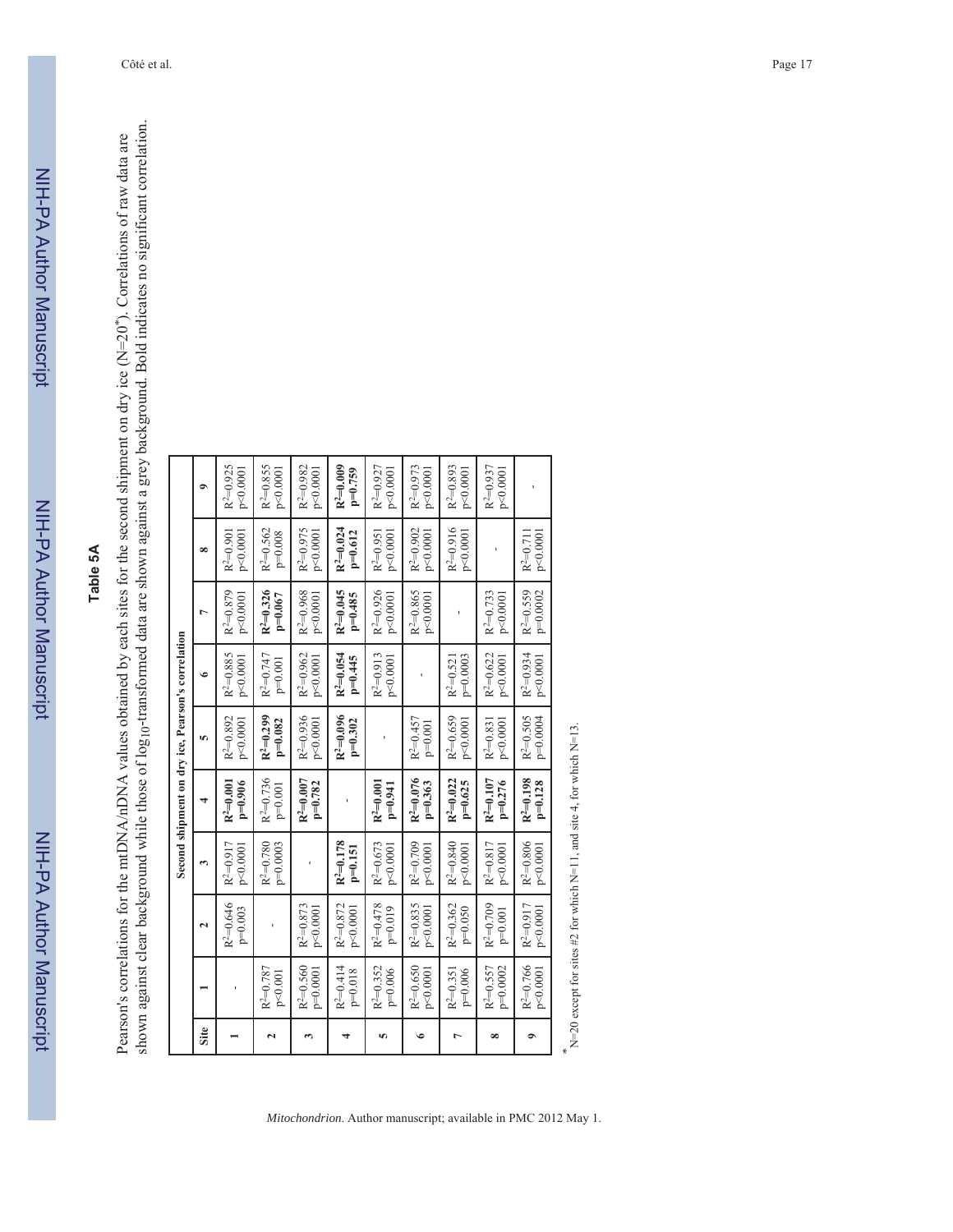# Table 5A **Table 5A**

Pearson's correlations for the mtDNA/nDNA values obtained by each sites for the second shipment on dry ice (N=20<sup>\*</sup>). Correlations of raw data are shown against elect background while those of log<sub>10</sub>-transformed data are shown against clear background while those of log10-transformed data are shown against a grey background. Bold indicates no significant correlation. Pearson's correlations for the mtDNA/nDNA values obtained by each sites for the second shipment on dry ice (N=20*\**). Correlations of raw data are

|                |                            |                            |                           | Second shipment on dry ice, Pearson's correlation |                          |                          |                           |                          |                           |
|----------------|----------------------------|----------------------------|---------------------------|---------------------------------------------------|--------------------------|--------------------------|---------------------------|--------------------------|---------------------------|
| Site           |                            | $\mathbf{\tilde{c}}$       | S                         |                                                   | VΩ                       | $\bullet$                | 1                         | $\infty$                 | $\bullet$                 |
|                |                            | $R^2 = 0.646$<br>$p=0.003$ | $R^{2}=0.917$<br>p<0.0001 | $R^2=0.001$<br>$p=0.906$                          | $R^2=0.892$<br>p<0.0001  | $R^2=0.885$<br>p<0.0001  | $R^2=0.879$<br>p<0.0001   | p<0.0001<br>$R^2=0.901$  | $R^{2}=0.925$<br>p<0.0001 |
| 2              | $R^2 = 0.787$<br>p<0.001   |                            | $p=0.0003$<br>$R^2=0.780$ | $R^2=0.736$<br>$p=0.001$                          | $R^2=0.299$<br>$p=0.082$ | $R^2=0.747$<br>$p=0.001$ | $R^2=0.326$<br>$p=0.067$  | $R^2=0.562$<br>$p=0.008$ | $R^2=0.855$<br>p<0.0001   |
| 3              | $R^2=0.560$<br>$p=0.0001$  | $R^2=0.873$<br>p<0.0001    |                           | $R^2=0.007$<br>$p=0.782$                          | $R^2=0.936$<br>p<0.0001  | $R^2=0.962$<br>p<0.0001  | $R^2=0.968$<br>p<0.0001   | $R^2=0.975$<br>p<0.0001  | $R^2=0.982$<br>p<0.0001   |
| 4              | $R^2=0.414$<br>$p=0.018$   | $R^2 = 0.872$<br>p<0.0001  | $R^2=0.178$<br>$p=0.151$  | ï                                                 | $R^2=0.096$<br>$p=0.302$ | $R^2=0.054$<br>$p=0.445$ | $R^2=0.045$<br>$p=0.485$  | $R^2=0.024$<br>$p=0.612$ | $R^2=0.009$<br>$p=0.759$  |
| īΩ,            | $R^2=0.352$<br>$p=0.006$   | $R^2=0.478$<br>$p=0.019$   | $R^{2}=0.673$<br>p<0.0001 | $R^2=0.001$<br>$p=0.941$                          |                          | $R^2=0.913$<br>p<0.0001  | $R^{2}=0.926$<br>p<0.0001 | p<0.0001<br>$R^2=0.951$  | $R^2=0.927$<br>p<0.0001   |
| $\bullet$      | $R^2=0.650$<br>p<0.0001    | $R^{2}=0.835$<br>p<0.0001  | $R^2=0.709$<br>p<0.0001   | $R^2=0.076$<br>$p=0.363$                          | $R^2=0.457$<br>$p=0.001$ |                          | $R^2 = 0.865$<br>p<0.0001 | $R^2=0.902$<br>p<0.0001  | $R^{2}=0.973$<br>p<0.0001 |
| $\overline{ }$ | $R^{2}=0.351$<br>$p=0.006$ | $R^2=0.362$<br>$p=0.050$   | $R^2=0.840$<br>p<0.0001   | $R^2=0.022$<br>$p=0.625$                          | $R^2=0.659$<br>p<0.0001  | $p=0.0003$<br>$R^2=0.52$ |                           | $R^2=0.916$<br>p<0.0001  | $R^2=0.893$<br>p<0.0001   |
| $\infty$       | $R^2=0.557$<br>p=0.0002    | $R^2=0.709$<br>$p=0.001$   | $R^2=0.817$<br>p<0.0001   | $R^2=0.107$<br>$p=0.276$                          | p<0.0001<br>$R^2=0.831$  | $R^2=0.622$<br>p<0.0001  | $R^2=0.733$<br>p<0.0001   |                          | $R^{2}=0.937$<br>p<0.0001 |
| $\bullet$      | $R^2=0.766$<br>p<0.0001    | $R^2=0.917$<br>p<0.0001    | $R^2=0.806$<br>p<0.0001   | $R^2=0.198$<br>$p=0.128$                          | $R^2=0.505$<br>p=0.0004  | $R^2=0.934$<br>p<0.0001  | $R^2=0.559$<br>p=0.0002   | p<0.0001<br>$R^2=0.71$   |                           |
|                |                            |                            |                           |                                                   |                          |                          |                           |                          |                           |

*\** N=20 except for sites #2 for which N=11, and site 4, for which N=13.